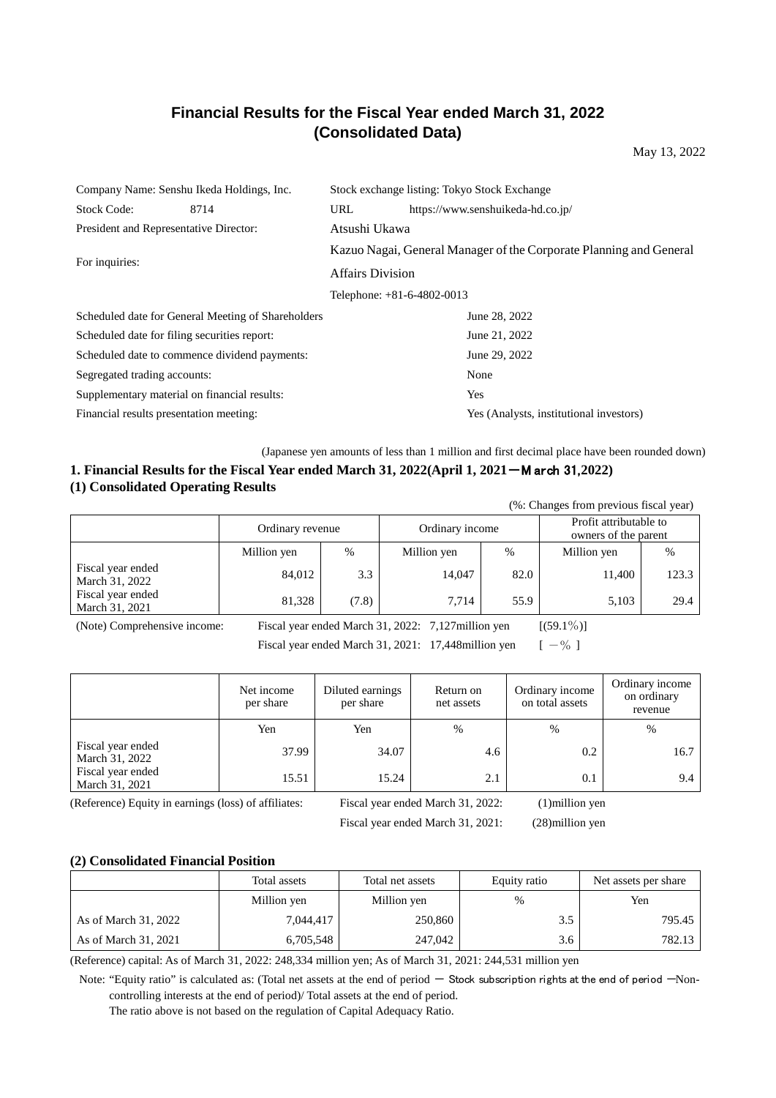# **Financial Results for the Fiscal Year ended March 31, 2022 (Consolidated Data)**

May 13, 2022

| Company Name: Senshu Ikeda Holdings, Inc.          |               | Stock exchange listing: Tokyo Stock Exchange                       |  |  |  |
|----------------------------------------------------|---------------|--------------------------------------------------------------------|--|--|--|
| <b>Stock Code:</b><br>8714                         | URL           | https://www.senshuikeda-hd.co.jp/                                  |  |  |  |
| President and Representative Director:             | Atsushi Ukawa |                                                                    |  |  |  |
| For inquiries:                                     |               | Kazuo Nagai, General Manager of the Corporate Planning and General |  |  |  |
|                                                    |               | <b>Affairs Division</b>                                            |  |  |  |
|                                                    |               | Telephone: $+81-6-4802-0013$                                       |  |  |  |
| Scheduled date for General Meeting of Shareholders |               | June 28, 2022                                                      |  |  |  |
| Scheduled date for filing securities report:       |               | June 21, 2022                                                      |  |  |  |
| Scheduled date to commence dividend payments:      |               | June 29, 2022                                                      |  |  |  |
| Segregated trading accounts:                       |               | None                                                               |  |  |  |
| Supplementary material on financial results:       |               | Yes                                                                |  |  |  |
| Financial results presentation meeting:            |               | Yes (Analysts, institutional investors)                            |  |  |  |

(Japanese yen amounts of less than 1 million and first decimal place have been rounded down)

# **1. Financial Results for the Fiscal Year ended March 31, 2022(April 1, 2021**-M arch 31, **2022) (1) Consolidated Operating Results**

(%: Changes from previous fiscal year)

|                                     | Ordinary revenue |       | Ordinary income |      | Profit attributable to<br>owners of the parent |       |  |
|-------------------------------------|------------------|-------|-----------------|------|------------------------------------------------|-------|--|
|                                     | Million yen      | $\%$  | Million yen     | %    | Million yen                                    | %     |  |
| Fiscal year ended<br>March 31, 2022 | 84.012           | 3.3   | 14,047          | 82.0 | 11,400                                         | 123.3 |  |
| Fiscal year ended<br>March 31, 2021 | 81,328           | (7.8) | 7.714           | 55.9 | 5,103                                          | 29.4  |  |
|                                     |                  |       |                 |      |                                                |       |  |

(Note) Comprehensive income: Fiscal year ended March 31, 2022: 7,127million yen [(59.1%)]

Fiscal year ended March 31, 2021: 17,448 million yen  $[-\%]$ 

|                                     | Net income<br>Diluted earnings<br>per share<br>per share |       | Return on<br>net assets | Ordinary income<br>on total assets | Ordinary income<br>on ordinary<br>revenue |  |
|-------------------------------------|----------------------------------------------------------|-------|-------------------------|------------------------------------|-------------------------------------------|--|
|                                     | Yen                                                      | Yen   | %                       | %                                  | $\%$                                      |  |
| Fiscal year ended<br>March 31, 2022 | 37.99                                                    | 34.07 | 4.6                     | 0.2                                | 16.7                                      |  |
| Fiscal year ended<br>March 31, 2021 | 15.51                                                    | 15.24 | 2.1                     | 0.1                                | 9.4                                       |  |

(Reference) Equity in earnings (loss) of affiliates: Fiscal year ended March 31, 2022: (1)million yen

Fiscal year ended March 31, 2021: (28)million yen

# **(2) Consolidated Financial Position**

|                      | Total assets | Total net assets | Equity ratio | Net assets per share |  |
|----------------------|--------------|------------------|--------------|----------------------|--|
|                      | Million yen  | Million yen      | %            | Yen                  |  |
| As of March 31, 2022 | 7,044,417    | 250,860          | 3.5          | 795.45               |  |
| As of March 31, 2021 | 6,705,548    | 247,042          | 3.6          | 782.13               |  |

(Reference) capital: As of March 31, 2022: 248,334 million yen; As of March 31, 2021: 244,531 million yen

Note: "Equity ratio" is calculated as: (Total net assets at the end of period - Stock subscription rights at the end of period - Noncontrolling interests at the end of period)/ Total assets at the end of period.

The ratio above is not based on the regulation of Capital Adequacy Ratio.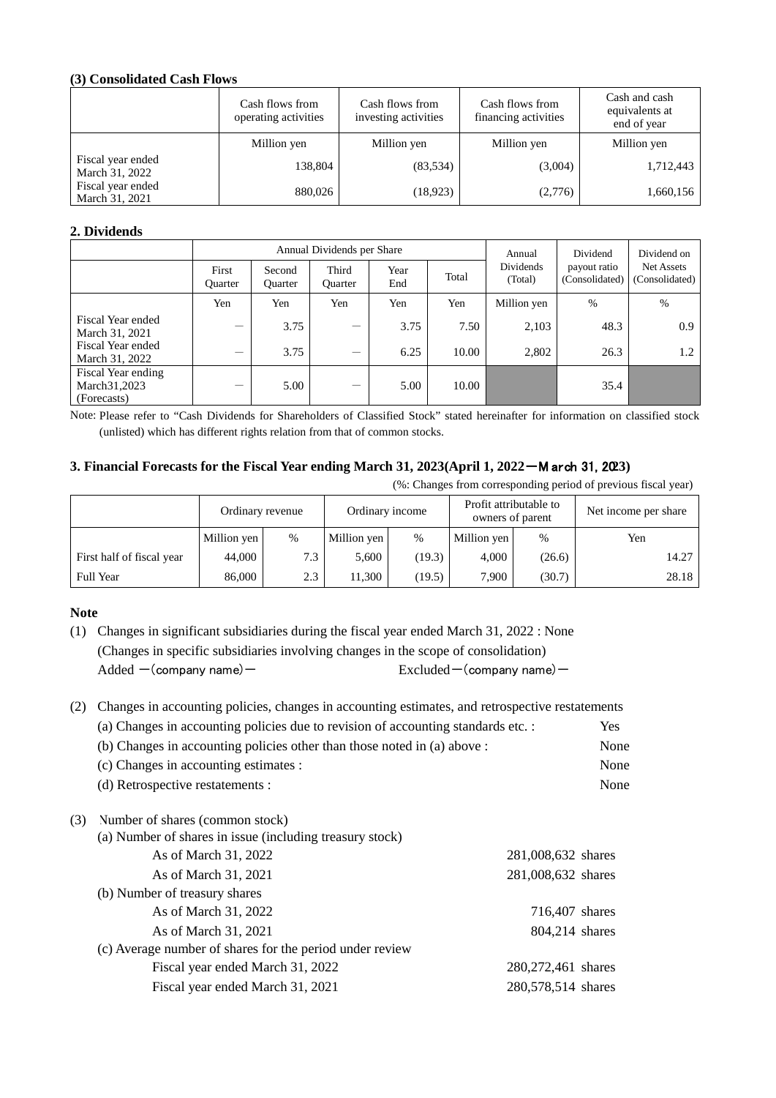# **(3) Consolidated Cash Flows**

|                                     | Cash flows from<br>operating activities | Cash flows from<br>investing activities | Cash flows from<br>financing activities | Cash and cash<br>equivalents at<br>end of year |  |
|-------------------------------------|-----------------------------------------|-----------------------------------------|-----------------------------------------|------------------------------------------------|--|
|                                     | Million yen                             | Million yen                             | Million yen                             | Million yen                                    |  |
| Fiscal year ended<br>March 31, 2022 | 138,804                                 | (83,534)                                | (3,004)                                 | 1,712,443                                      |  |
| Fiscal year ended<br>March 31, 2021 | 880,026                                 | (18, 923)                               | (2,776)                                 | 1,660,156                                      |  |

# **2. Dividends**

|                                                     |                         |                          | Annual Dividends per Share     | Annual      | Dividend | Dividend on          |                                |                              |
|-----------------------------------------------------|-------------------------|--------------------------|--------------------------------|-------------|----------|----------------------|--------------------------------|------------------------------|
|                                                     | First<br><b>Ouarter</b> | Second<br><b>Ouarter</b> | Third<br><b>Ouarter</b>        | Year<br>End | Total    | Dividends<br>(Total) | payout ratio<br>(Consolidated) | Net Assets<br>(Consolidated) |
|                                                     | Yen                     | Yen                      | Yen                            | Yen         | Yen      | Million yen          | %                              | %                            |
| Fiscal Year ended<br>March 31, 2021                 |                         | 3.75                     |                                | 3.75        | 7.50     | 2,103                | 48.3                           | 0.9                          |
| Fiscal Year ended<br>March 31, 2022                 |                         | 3.75                     | $\qquad \qquad \longleftarrow$ | 6.25        | 10.00    | 2,802                | 26.3                           | 1.2                          |
| Fiscal Year ending<br>March 31, 2023<br>(Forecasts) |                         | 5.00                     |                                | 5.00        | 10.00    |                      | 35.4                           |                              |

Note: Please refer to "Cash Dividends for Shareholders of Classified Stock" stated hereinafter for information on classified stock (unlisted) which has different rights relation from that of common stocks.

# **3. Financial Forecasts for the Fiscal Year ending March 31, 2023(April 1, 2022**-M arch 31, 20**23)**

(%: Changes from corresponding period of previous fiscal year)

|                           | Ordinary revenue |      | Ordinary income |                     | Profit attributable to<br>owners of parent |        | Net income per share |  |
|---------------------------|------------------|------|-----------------|---------------------|--------------------------------------------|--------|----------------------|--|
|                           | Million yen      | $\%$ | Million yen     | Million yen<br>$\%$ |                                            | %      | Yen                  |  |
| First half of fiscal year | 44,000           | 7.3  | 5.600           | (19.3)              | 4,000                                      | (26.6) | 14.27                |  |
| <b>Full Year</b>          | 86,000           | 2.3  | 11.300          | (19.5)              | 7.900                                      | (30.7) | 28.18                |  |

## **Note**

(1) Changes in significant subsidiaries during the fiscal year ended March 31, 2022 : None (Changes in specific subsidiaries involving changes in the scope of consolidation)  $\text{Added}$  -(company name) - Excluded-(company name) -

| (2) | Changes in accounting policies, changes in accounting estimates, and retrospective restatements |                    |      |  |  |  |  |  |
|-----|-------------------------------------------------------------------------------------------------|--------------------|------|--|--|--|--|--|
|     | (a) Changes in accounting policies due to revision of accounting standards etc. :               |                    | Yes. |  |  |  |  |  |
|     | (b) Changes in accounting policies other than those noted in (a) above :                        |                    | None |  |  |  |  |  |
|     | (c) Changes in accounting estimates :                                                           |                    | None |  |  |  |  |  |
|     | (d) Retrospective restatements :                                                                |                    | None |  |  |  |  |  |
| (3) | Number of shares (common stock)                                                                 |                    |      |  |  |  |  |  |
|     | (a) Number of shares in issue (including treasury stock)                                        |                    |      |  |  |  |  |  |
|     | As of March 31, 2022                                                                            | 281,008,632 shares |      |  |  |  |  |  |
|     | As of March 31, 2021                                                                            | 281,008,632 shares |      |  |  |  |  |  |
|     | (b) Number of treasury shares                                                                   |                    |      |  |  |  |  |  |
|     | As of March 31, 2022                                                                            | 716,407 shares     |      |  |  |  |  |  |
|     | As of March 31, 2021                                                                            | 804,214 shares     |      |  |  |  |  |  |
|     | (c) Average number of shares for the period under review                                        |                    |      |  |  |  |  |  |
|     | Fiscal year ended March 31, 2022                                                                | 280,272,461 shares |      |  |  |  |  |  |
|     | Fiscal year ended March 31, 2021                                                                | 280,578,514 shares |      |  |  |  |  |  |
|     |                                                                                                 |                    |      |  |  |  |  |  |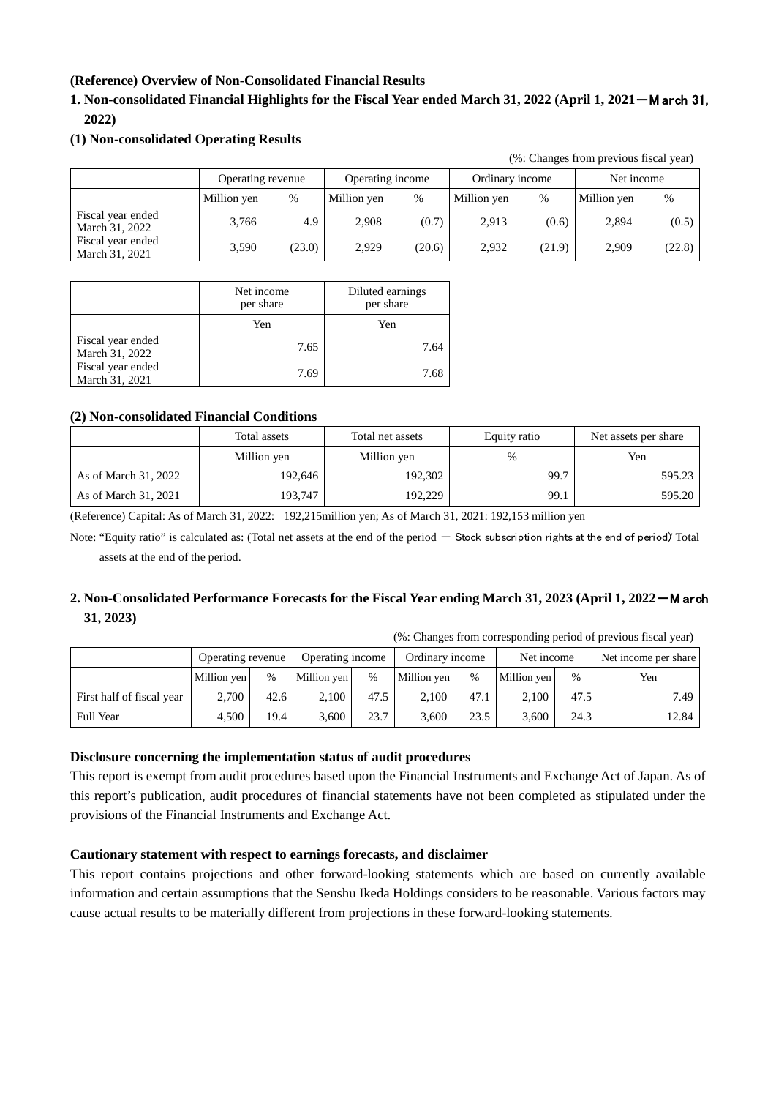# **(Reference) Overview of Non-Consolidated Financial Results**

# **1. Non-consolidated Financial Highlights for the Fiscal Year ended March 31, 2022 (April 1, 2021**-M arch 31, **2022)**

# **(1) Non-consolidated Operating Results**

(%: Changes from previous fiscal year)

|                                     |             | Operating revenue | Operating income |        | Ordinary income |        | Net income  |        |
|-------------------------------------|-------------|-------------------|------------------|--------|-----------------|--------|-------------|--------|
|                                     | Million yen | %                 | Million yen      | $\%$   | Million yen     | $\%$   | Million yen | $\%$   |
| Fiscal year ended<br>March 31, 2022 | 3.766       | 4.9               | 2.908            | (0.7)  | 2,913           | (0.6)  | 2,894       | (0.5)  |
| Fiscal year ended<br>March 31, 2021 | 3.590       | (23.0)            | 2,929            | (20.6) | 2,932           | (21.9) | 2,909       | (22.8) |

|                                     | Net income<br>per share | Diluted earnings<br>per share |
|-------------------------------------|-------------------------|-------------------------------|
|                                     | Yen                     | Yen                           |
| Fiscal year ended<br>March 31, 2022 | 7.65                    | 7.64                          |
| Fiscal year ended<br>March 31, 2021 | 7.69                    | 7.68                          |

# **(2) Non-consolidated Financial Conditions**

|                      | Total assets | Total net assets | Equity ratio  | Net assets per share |  |
|----------------------|--------------|------------------|---------------|----------------------|--|
|                      | Million yen  | Million yen      | $\frac{0}{0}$ | Yen                  |  |
| As of March 31, 2022 | 192,646      | 192,302          | 99.7          | 595.23               |  |
| As of March 31, 2021 | 193.747      | 192,229          | 99.1          | 595.20               |  |

(Reference) Capital: As of March 31, 2022: 192,215million yen; As of March 31, 2021: 192,153 million yen

Note: "Equity ratio" is calculated as: (Total net assets at the end of the period  $-$  Stock subscription rights at the end of period) Total assets at the end of the period.

# **2. Non-Consolidated Performance Forecasts for the Fiscal Year ending March 31, 2023 (April 1, 2022**-M arch **31, 2023)**

(%: Changes from corresponding period of previous fiscal year)

|                           | Operating revenue |      | Operating income |      | Ordinary income |      | Net income  |      | Net income per share |
|---------------------------|-------------------|------|------------------|------|-----------------|------|-------------|------|----------------------|
|                           | Million yen       | %    | Million yen      | $\%$ | Million yen     | %    | Million yen | $\%$ | Yen                  |
| First half of fiscal year | 2.700             | 42.6 | 2.100            | 47.5 | 2,100           | 47.1 | 2.100       | 47.5 | 7.49                 |
| <b>Full Year</b>          | 4.500             | 19.4 | 3.600            | 23.7 | 3.600           | 23.5 | 3.600       | 24.3 | 12.84                |

# **Disclosure concerning the implementation status of audit procedures**

This report is exempt from audit procedures based upon the Financial Instruments and Exchange Act of Japan. As of this report's publication, audit procedures of financial statements have not been completed as stipulated under the provisions of the Financial Instruments and Exchange Act.

# **Cautionary statement with respect to earnings forecasts, and disclaimer**

This report contains projections and other forward-looking statements which are based on currently available information and certain assumptions that the Senshu Ikeda Holdings considers to be reasonable. Various factors may cause actual results to be materially different from projections in these forward-looking statements.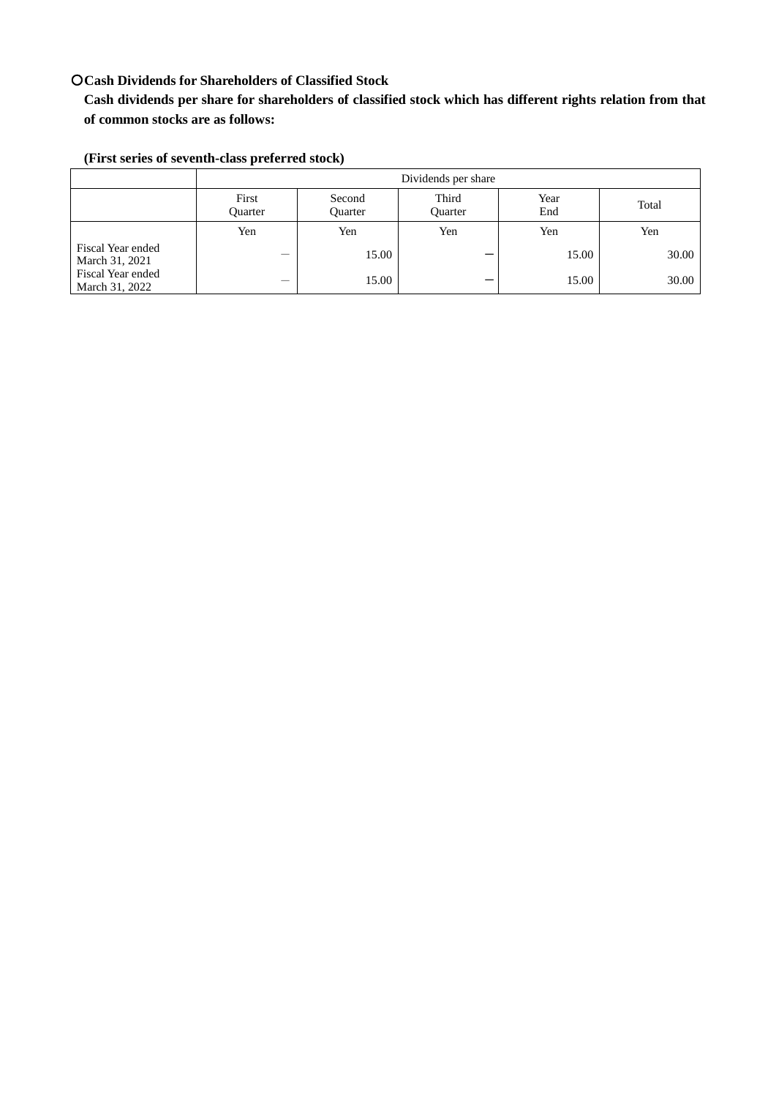# 〇**Cash Dividends for Shareholders of Classified Stock**

**Cash dividends per share for shareholders of classified stock which has different rights relation from that of common stocks are as follows:**

| (First series of seventh-class preferred stock) |  |
|-------------------------------------------------|--|
|-------------------------------------------------|--|

|                                     | Dividends per share     |                          |                         |             |       |  |
|-------------------------------------|-------------------------|--------------------------|-------------------------|-------------|-------|--|
|                                     | First<br><b>Ouarter</b> | Second<br><b>Ouarter</b> | Third<br><b>Ouarter</b> | Year<br>End | Total |  |
|                                     | Yen                     | Yen                      | Yen                     | Yen         | Yen   |  |
| Fiscal Year ended<br>March 31, 2021 |                         | 15.00                    |                         | 15.00       | 30.00 |  |
| Fiscal Year ended<br>March 31, 2022 | –                       | 15.00                    |                         | 15.00       | 30.00 |  |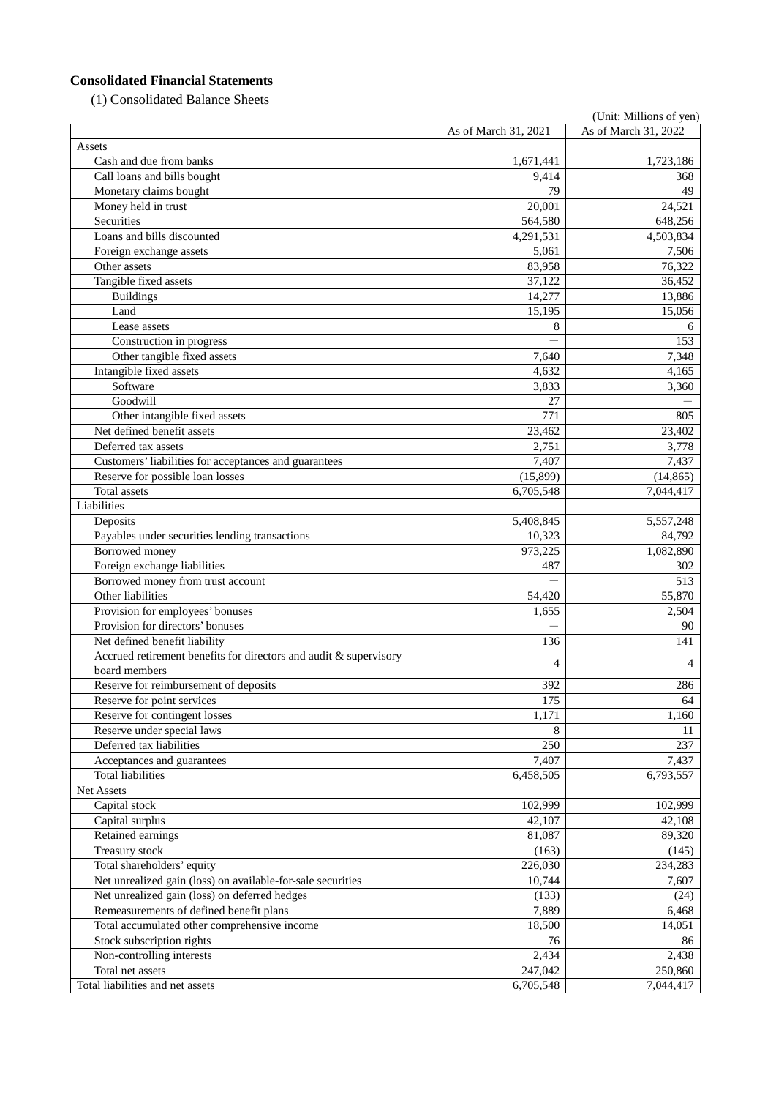# **Consolidated Financial Statements**

(1) Consolidated Balance Sheets

|                                                                   |                      | (Unit: Millions of yen) |
|-------------------------------------------------------------------|----------------------|-------------------------|
|                                                                   | As of March 31, 2021 | As of March 31, 2022    |
| Assets                                                            |                      |                         |
| Cash and due from banks                                           | 1,671,441            | 1,723,186               |
| Call loans and bills bought                                       | 9,414                | 368                     |
| Monetary claims bought                                            | 79                   | 49                      |
| Money held in trust                                               | 20,001               | 24,521                  |
| Securities                                                        | 564,580              | 648,256                 |
| Loans and bills discounted                                        | 4,291,531            | 4,503,834               |
| Foreign exchange assets                                           | 5,061                | 7,506                   |
| Other assets                                                      | 83,958               | 76,322                  |
| Tangible fixed assets                                             | 37,122               | 36,452                  |
| <b>Buildings</b>                                                  | 14,277               | 13,886                  |
| Land                                                              | 15,195               | 15,056                  |
| Lease assets                                                      | 8                    | 6                       |
| Construction in progress                                          |                      | 153                     |
| Other tangible fixed assets                                       | 7,640                | 7,348                   |
| Intangible fixed assets                                           | 4,632                | 4,165                   |
| Software                                                          | 3,833                | 3,360                   |
| Goodwill                                                          | 27                   |                         |
| Other intangible fixed assets                                     | 771                  | 805                     |
| Net defined benefit assets                                        | 23,462               | 23,402                  |
| Deferred tax assets                                               | 2,751                | 3,778                   |
| Customers' liabilities for acceptances and guarantees             | 7,407                | 7,437                   |
| Reserve for possible loan losses                                  | (15,899)             | (14, 865)               |
| Total assets                                                      | 6,705,548            | 7,044,417               |
| Liabilities                                                       |                      |                         |
| Deposits                                                          | 5,408,845            | 5,557,248               |
| Payables under securities lending transactions                    | 10,323               | 84,792                  |
| Borrowed money                                                    | 973,225              | 1,082,890               |
| Foreign exchange liabilities                                      | 487                  | 302                     |
| Borrowed money from trust account                                 |                      | 513                     |
| Other liabilities                                                 | 54,420               | 55,870                  |
| Provision for employees' bonuses                                  | 1,655                | 2,504                   |
| Provision for directors' bonuses                                  |                      | 90                      |
| Net defined benefit liability                                     | 136                  | 141                     |
| Accrued retirement benefits for directors and audit & supervisory | 4                    | 4                       |
| board members                                                     |                      |                         |
| Reserve for reimbursement of deposits                             | 392                  | 286                     |
| Reserve for point services                                        | 175                  | 64                      |
| Reserve for contingent losses                                     | 1,171                | 1,160                   |
| Reserve under special laws                                        | 8                    | 11                      |
| Deferred tax liabilities                                          | 250                  | 237                     |
| Acceptances and guarantees                                        | 7,407                | 7,437                   |
| <b>Total liabilities</b>                                          | 6,458,505            | 6,793,557               |
| Net Assets                                                        |                      |                         |
| Capital stock                                                     | 102,999              | 102,999                 |
| Capital surplus                                                   | 42,107               | 42,108                  |
| Retained earnings                                                 | 81,087               | 89,320                  |
| Treasury stock                                                    | (163)                | (145)                   |
| Total shareholders' equity                                        | 226,030              | 234,283                 |
| Net unrealized gain (loss) on available-for-sale securities       | 10,744               | 7,607                   |
| Net unrealized gain (loss) on deferred hedges                     | (133)                | (24)                    |
| Remeasurements of defined benefit plans                           | 7,889                | 6,468                   |
| Total accumulated other comprehensive income                      | 18,500               | 14,051                  |
| Stock subscription rights                                         | 76                   | 86                      |
| Non-controlling interests                                         | 2,434                | 2,438                   |
| Total net assets                                                  | 247,042              | 250,860                 |
| Total liabilities and net assets                                  | 6,705,548            | 7,044,417               |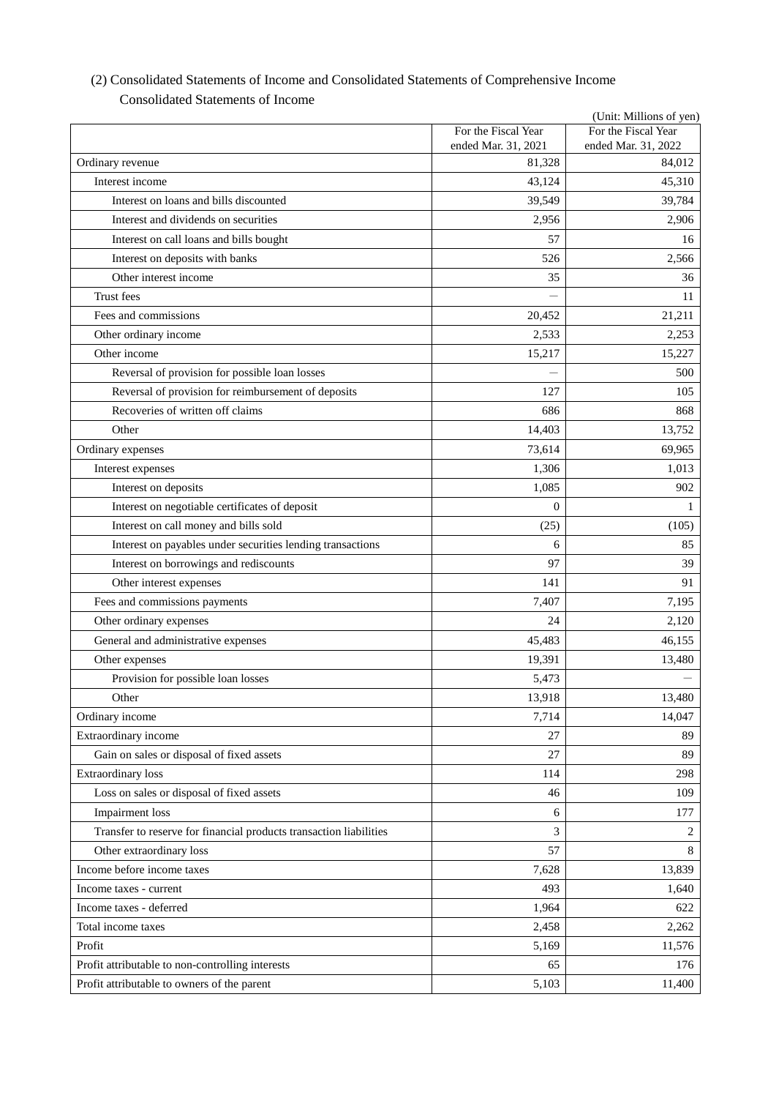|                                                                    |                                            | (Unit: Millions of yen)                    |
|--------------------------------------------------------------------|--------------------------------------------|--------------------------------------------|
|                                                                    | For the Fiscal Year<br>ended Mar. 31, 2021 | For the Fiscal Year<br>ended Mar. 31, 2022 |
| Ordinary revenue                                                   | 81,328                                     | 84,012                                     |
| Interest income                                                    | 43,124                                     | 45,310                                     |
| Interest on loans and bills discounted                             | 39,549                                     | 39,784                                     |
| Interest and dividends on securities                               | 2,956                                      | 2,906                                      |
| Interest on call loans and bills bought                            | 57                                         | 16                                         |
| Interest on deposits with banks                                    | 526                                        | 2,566                                      |
| Other interest income                                              | 35                                         | 36                                         |
| Trust fees                                                         |                                            | 11                                         |
| Fees and commissions                                               | 20,452                                     | 21,211                                     |
| Other ordinary income                                              | 2,533                                      | 2,253                                      |
| Other income                                                       | 15,217                                     | 15,227                                     |
| Reversal of provision for possible loan losses                     |                                            | 500                                        |
| Reversal of provision for reimbursement of deposits                | 127                                        | 105                                        |
| Recoveries of written off claims                                   | 686                                        | 868                                        |
| Other                                                              | 14,403                                     | 13,752                                     |
| Ordinary expenses                                                  | 73,614                                     | 69,965                                     |
| Interest expenses                                                  | 1,306                                      | 1,013                                      |
| Interest on deposits                                               | 1,085                                      | 902                                        |
| Interest on negotiable certificates of deposit                     | $\mathbf{0}$                               | 1                                          |
| Interest on call money and bills sold                              | (25)                                       | (105)                                      |
| Interest on payables under securities lending transactions         | 6                                          | 85                                         |
| Interest on borrowings and rediscounts                             | 97                                         | 39                                         |
| Other interest expenses                                            | 141                                        | 91                                         |
| Fees and commissions payments                                      | 7,407                                      | 7,195                                      |
| Other ordinary expenses                                            | 24                                         | 2,120                                      |
| General and administrative expenses                                | 45,483                                     | 46,155                                     |
| Other expenses                                                     | 19,391                                     | 13,480                                     |
| Provision for possible loan losses                                 | 5,473                                      |                                            |
| Other                                                              | 13,918                                     | 13,480                                     |
| Ordinary income                                                    | 7,714                                      | 14,047                                     |
| Extraordinary income                                               | 27                                         | 89                                         |
| Gain on sales or disposal of fixed assets                          | 27                                         | 89                                         |
| <b>Extraordinary</b> loss                                          | 114                                        | 298                                        |
| Loss on sales or disposal of fixed assets                          | 46                                         | 109                                        |
| Impairment loss                                                    | 6                                          | 177                                        |
| Transfer to reserve for financial products transaction liabilities | 3                                          | 2                                          |
| Other extraordinary loss                                           | 57                                         | $\,8\,$                                    |
| Income before income taxes                                         | 7,628                                      | 13,839                                     |
| Income taxes - current                                             | 493                                        | 1,640                                      |
| Income taxes - deferred                                            | 1,964                                      | 622                                        |
| Total income taxes                                                 | 2,458                                      | 2,262                                      |
| Profit                                                             | 5,169                                      | 11,576                                     |
| Profit attributable to non-controlling interests                   | 65                                         | 176                                        |
| Profit attributable to owners of the parent                        | 5,103                                      | 11,400                                     |

# (2) Consolidated Statements of Income and Consolidated Statements of Comprehensive Income Consolidated Statements of Income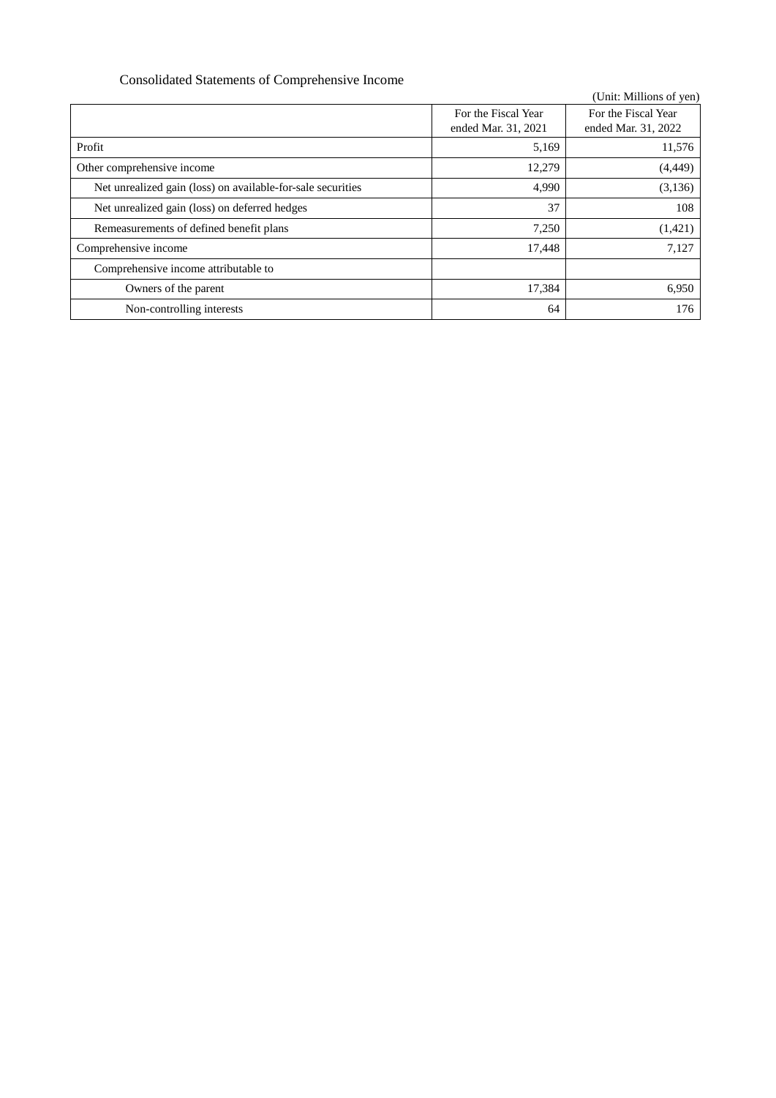# Consolidated Statements of Comprehensive Income

|                                                             |                     | (Unit: Millions of yen) |
|-------------------------------------------------------------|---------------------|-------------------------|
|                                                             | For the Fiscal Year | For the Fiscal Year     |
|                                                             | ended Mar. 31, 2021 | ended Mar. 31, 2022     |
| Profit                                                      | 5,169               | 11,576                  |
| Other comprehensive income                                  | 12,279              | (4, 449)                |
| Net unrealized gain (loss) on available-for-sale securities | 4,990               | (3, 136)                |
| Net unrealized gain (loss) on deferred hedges               | 37                  | 108                     |
| Remeasurements of defined benefit plans                     | 7,250               | (1,421)                 |
| Comprehensive income                                        | 17,448              | 7,127                   |
| Comprehensive income attributable to                        |                     |                         |
| Owners of the parent                                        | 17,384              | 6,950                   |
| Non-controlling interests                                   | 64                  | 176                     |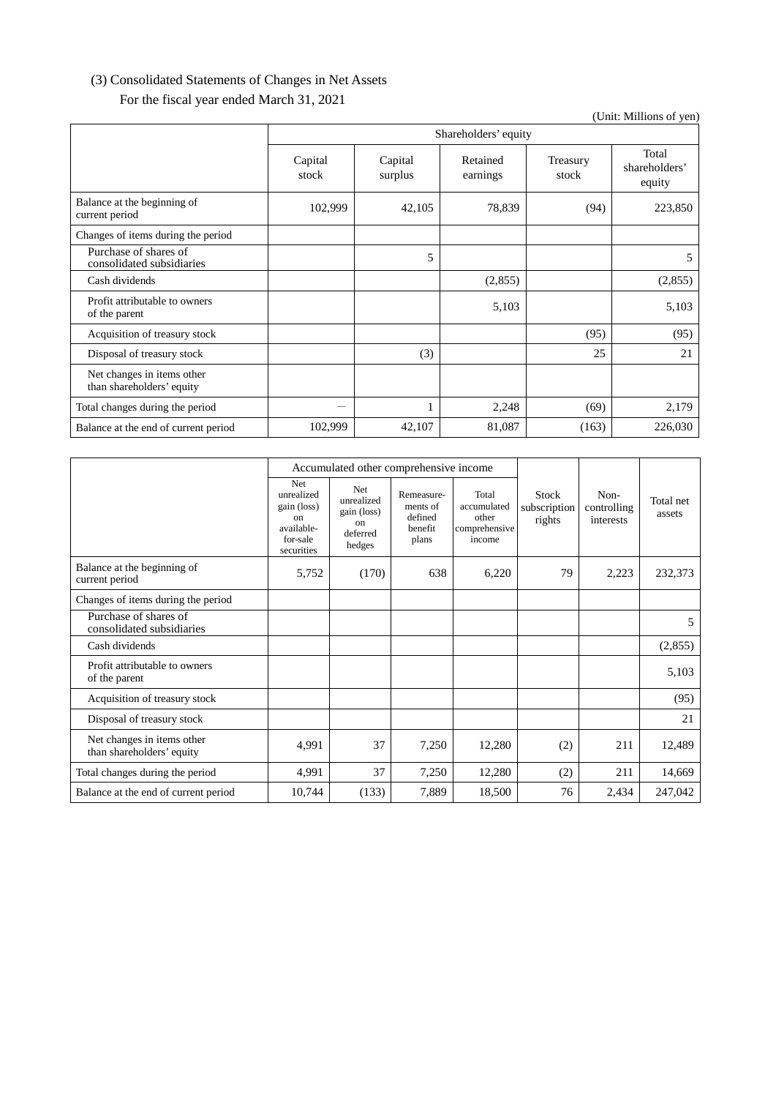# (3) Consolidated Statements of Changes in Net Assets

For the fiscal year ended March 31, 2021

Shareholders' equity Capital stock Capital surplus Retained earnings Treasury stock Total shareholders' equity Balance at the beginning of  $\frac{102,999}{223,850}$  (94) 223,850 Changes of items during the period Purchase of shares of Purchase of shares of the consolidated subsidiaries and the consolidated subsidiaries of the consolidated subsidiaries of the consolidated subsidiaries of the consolidated subsidiaries of the consolidated subsidiaries of t  $\text{Cash dividends}$  (2,855) (2,855) Profit attributable to owners<br>of the parent  $\frac{1}{2}$   $\frac{1}{2}$   $\frac{1}{2}$   $\frac{5,103}{3}$   $\frac{5,103}{3}$   $\frac{5,103}{3}$ Acquisition of treasury stock (95) (95) (95) (95) (95) Disposal of treasury stock (3) (3) 25 21 Net changes in items other than shareholders' equity Total changes during the period  $1$   $2,248$   $(69)$   $2,179$ Balance at the end of current period 102,999 42,107 81,087 (163) 226,030

|                                                         | Accumulated other comprehensive income                                                         |                                                                     |                                                       |                                                          |                                        |                                  |                     |
|---------------------------------------------------------|------------------------------------------------------------------------------------------------|---------------------------------------------------------------------|-------------------------------------------------------|----------------------------------------------------------|----------------------------------------|----------------------------------|---------------------|
|                                                         | <b>Net</b><br>unrealized<br>gain (loss)<br>$_{\rm on}$<br>available-<br>for-sale<br>securities | <b>Net</b><br>unrealized<br>gain (loss)<br>on<br>deferred<br>hedges | Remeasure-<br>ments of<br>defined<br>henefit<br>plans | Total<br>accumulated<br>other<br>comprehensive<br>income | <b>Stock</b><br>subscription<br>rights | Non-<br>controlling<br>interests | Total net<br>assets |
| Balance at the beginning of<br>current period           | 5,752                                                                                          | (170)                                                               | 638                                                   | 6,220                                                    | 79                                     | 2,223                            | 232,373             |
| Changes of items during the period                      |                                                                                                |                                                                     |                                                       |                                                          |                                        |                                  |                     |
| Purchase of shares of<br>consolidated subsidiaries      |                                                                                                |                                                                     |                                                       |                                                          |                                        |                                  | 5                   |
| Cash dividends                                          |                                                                                                |                                                                     |                                                       |                                                          |                                        |                                  | (2,855)             |
| Profit attributable to owners<br>of the parent          |                                                                                                |                                                                     |                                                       |                                                          |                                        |                                  | 5,103               |
| Acquisition of treasury stock                           |                                                                                                |                                                                     |                                                       |                                                          |                                        |                                  | (95)                |
| Disposal of treasury stock                              |                                                                                                |                                                                     |                                                       |                                                          |                                        |                                  | 21                  |
| Net changes in items other<br>than shareholders' equity | 4,991                                                                                          | 37                                                                  | 7,250                                                 | 12,280                                                   | (2)                                    | 211                              | 12,489              |
| Total changes during the period                         | 4,991                                                                                          | 37                                                                  | 7,250                                                 | 12,280                                                   | (2)                                    | 211                              | 14,669              |
| Balance at the end of current period                    | 10,744                                                                                         | (133)                                                               | 7,889                                                 | 18,500                                                   | 76                                     | 2,434                            | 247,042             |

(Unit: Millions of yen)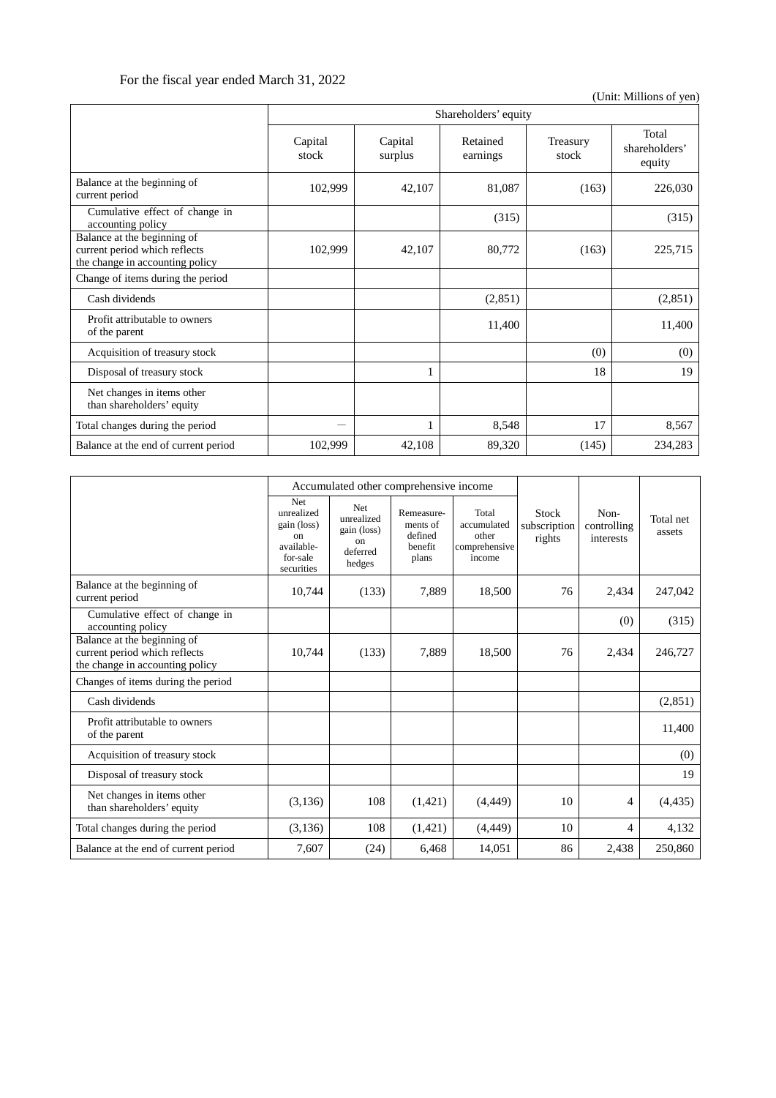# For the fiscal year ended March 31, 2022

(Unit: Millions of yen)

|                                                                                                 | Shareholders' equity |                    |                      |                   |                                  |  |
|-------------------------------------------------------------------------------------------------|----------------------|--------------------|----------------------|-------------------|----------------------------------|--|
|                                                                                                 | Capital<br>stock     | Capital<br>surplus | Retained<br>earnings | Treasury<br>stock | Total<br>shareholders'<br>equity |  |
| Balance at the beginning of<br>current period                                                   | 102,999              | 42,107             | 81,087               | (163)             | 226,030                          |  |
| Cumulative effect of change in<br>accounting policy                                             |                      |                    | (315)                |                   | (315)                            |  |
| Balance at the beginning of<br>current period which reflects<br>the change in accounting policy | 102,999              | 42,107             | 80,772               | (163)             | 225,715                          |  |
| Change of items during the period                                                               |                      |                    |                      |                   |                                  |  |
| Cash dividends                                                                                  |                      |                    | (2,851)              |                   | (2, 851)                         |  |
| Profit attributable to owners<br>of the parent                                                  |                      |                    | 11,400               |                   | 11,400                           |  |
| Acquisition of treasury stock                                                                   |                      |                    |                      | (0)               | (0)                              |  |
| Disposal of treasury stock                                                                      |                      |                    |                      | 18                | 19                               |  |
| Net changes in items other<br>than shareholders' equity                                         |                      |                    |                      |                   |                                  |  |
| Total changes during the period                                                                 |                      |                    | 8,548                | 17                | 8,567                            |  |
| Balance at the end of current period                                                            | 102,999              | 42,108             | 89,320               | (145)             | 234,283                          |  |

|                                                                                                 | Accumulated other comprehensive income                                         |                                                                     |                                                       |                                                          |                                        |                                  |                     |
|-------------------------------------------------------------------------------------------------|--------------------------------------------------------------------------------|---------------------------------------------------------------------|-------------------------------------------------------|----------------------------------------------------------|----------------------------------------|----------------------------------|---------------------|
|                                                                                                 | Net<br>unrealized<br>gain (loss)<br>on<br>available-<br>for-sale<br>securities | <b>Net</b><br>unrealized<br>gain (loss)<br>on<br>deferred<br>hedges | Remeasure-<br>ments of<br>defined<br>benefit<br>plans | Total<br>accumulated<br>other<br>comprehensive<br>income | <b>Stock</b><br>subscription<br>rights | Non-<br>controlling<br>interests | Total net<br>assets |
| Balance at the beginning of<br>current period                                                   | 10,744                                                                         | (133)                                                               | 7,889                                                 | 18,500                                                   | 76                                     | 2,434                            | 247,042             |
| Cumulative effect of change in<br>accounting policy                                             |                                                                                |                                                                     |                                                       |                                                          |                                        | (0)                              | (315)               |
| Balance at the beginning of<br>current period which reflects<br>the change in accounting policy | 10,744                                                                         | (133)                                                               | 7,889                                                 | 18,500                                                   | 76                                     | 2,434                            | 246,727             |
| Changes of items during the period                                                              |                                                                                |                                                                     |                                                       |                                                          |                                        |                                  |                     |
| Cash dividends                                                                                  |                                                                                |                                                                     |                                                       |                                                          |                                        |                                  | (2, 851)            |
| Profit attributable to owners<br>of the parent                                                  |                                                                                |                                                                     |                                                       |                                                          |                                        |                                  | 11,400              |
| Acquisition of treasury stock                                                                   |                                                                                |                                                                     |                                                       |                                                          |                                        |                                  | (0)                 |
| Disposal of treasury stock                                                                      |                                                                                |                                                                     |                                                       |                                                          |                                        |                                  | 19                  |
| Net changes in items other<br>than shareholders' equity                                         | (3,136)                                                                        | 108                                                                 | (1,421)                                               | (4, 449)                                                 | 10                                     | 4                                | (4, 435)            |
| Total changes during the period                                                                 | (3,136)                                                                        | 108                                                                 | (1,421)                                               | (4, 449)                                                 | 10                                     | 4                                | 4,132               |
| Balance at the end of current period                                                            | 7.607                                                                          | (24)                                                                | 6.468                                                 | 14.051                                                   | 86                                     | 2,438                            | 250,860             |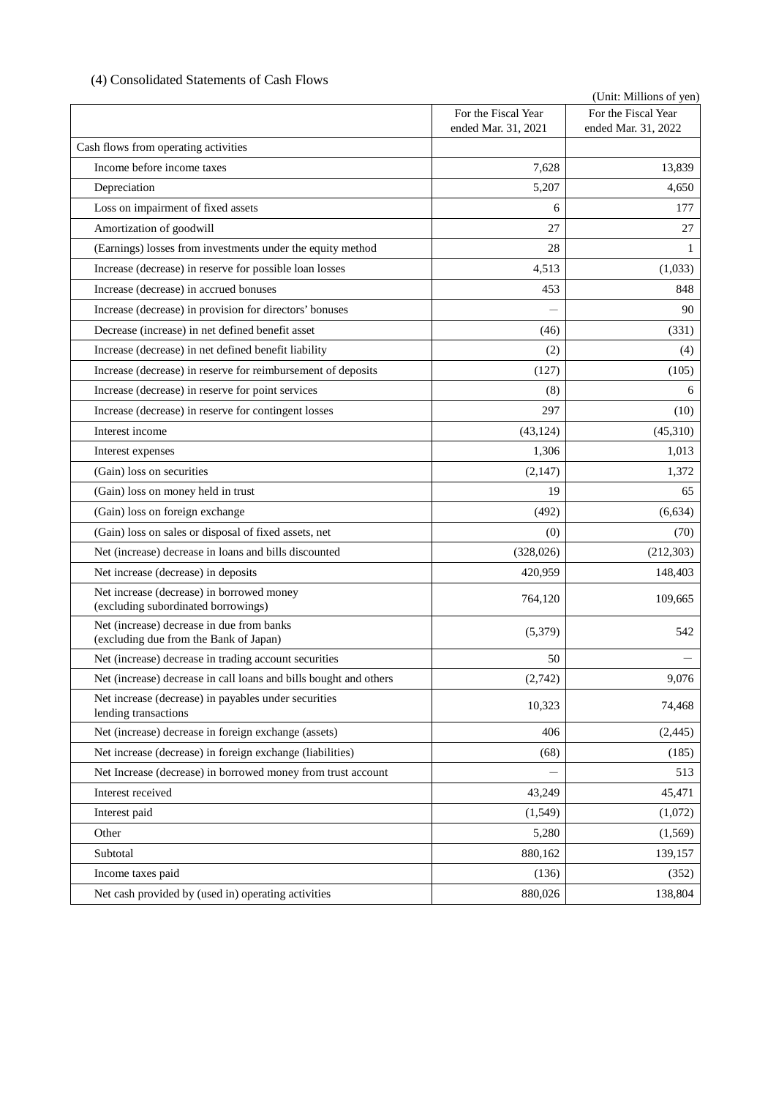# (4) Consolidated Statements of Cash Flows

|                                                                                     |                                            | (Unit: Millions of yen)                    |
|-------------------------------------------------------------------------------------|--------------------------------------------|--------------------------------------------|
|                                                                                     | For the Fiscal Year<br>ended Mar. 31, 2021 | For the Fiscal Year<br>ended Mar. 31, 2022 |
| Cash flows from operating activities                                                |                                            |                                            |
| Income before income taxes                                                          | 7,628                                      | 13,839                                     |
| Depreciation                                                                        | 5,207                                      | 4,650                                      |
| Loss on impairment of fixed assets                                                  | 6                                          | 177                                        |
| Amortization of goodwill                                                            | 27                                         | 27                                         |
| (Earnings) losses from investments under the equity method                          | 28                                         | 1                                          |
| Increase (decrease) in reserve for possible loan losses                             | 4,513                                      | (1,033)                                    |
| Increase (decrease) in accrued bonuses                                              | 453                                        | 848                                        |
| Increase (decrease) in provision for directors' bonuses                             |                                            | 90                                         |
| Decrease (increase) in net defined benefit asset                                    | (46)                                       | (331)                                      |
| Increase (decrease) in net defined benefit liability                                | (2)                                        | (4)                                        |
| Increase (decrease) in reserve for reimbursement of deposits                        | (127)                                      | (105)                                      |
| Increase (decrease) in reserve for point services                                   | (8)                                        | 6                                          |
| Increase (decrease) in reserve for contingent losses                                | 297                                        | (10)                                       |
| Interest income                                                                     | (43, 124)                                  | (45,310)                                   |
| Interest expenses                                                                   | 1,306                                      | 1,013                                      |
| (Gain) loss on securities                                                           | (2, 147)                                   | 1,372                                      |
| (Gain) loss on money held in trust                                                  | 19                                         | 65                                         |
| (Gain) loss on foreign exchange                                                     | (492)                                      | (6, 634)                                   |
| (Gain) loss on sales or disposal of fixed assets, net                               | (0)                                        | (70)                                       |
| Net (increase) decrease in loans and bills discounted                               | (328, 026)                                 | (212, 303)                                 |
| Net increase (decrease) in deposits                                                 | 420,959                                    | 148,403                                    |
| Net increase (decrease) in borrowed money<br>(excluding subordinated borrowings)    | 764,120                                    | 109,665                                    |
| Net (increase) decrease in due from banks<br>(excluding due from the Bank of Japan) | (5,379)                                    | 542                                        |
| Net (increase) decrease in trading account securities                               | 50                                         |                                            |
| Net (increase) decrease in call loans and bills bought and others                   | (2,742)                                    | 9,076                                      |
| Net increase (decrease) in payables under securities<br>lending transactions        | 10,323                                     | 74,468                                     |
| Net (increase) decrease in foreign exchange (assets)                                | 406                                        | (2, 445)                                   |
| Net increase (decrease) in foreign exchange (liabilities)                           | (68)                                       | (185)                                      |
| Net Increase (decrease) in borrowed money from trust account                        |                                            | 513                                        |
| Interest received                                                                   | 43,249                                     | 45,471                                     |
| Interest paid                                                                       | (1,549)                                    | (1,072)                                    |
| Other                                                                               | 5,280                                      | (1, 569)                                   |
| Subtotal                                                                            | 880,162                                    | 139,157                                    |
| Income taxes paid                                                                   | (136)                                      | (352)                                      |
| Net cash provided by (used in) operating activities                                 | 880,026                                    | 138,804                                    |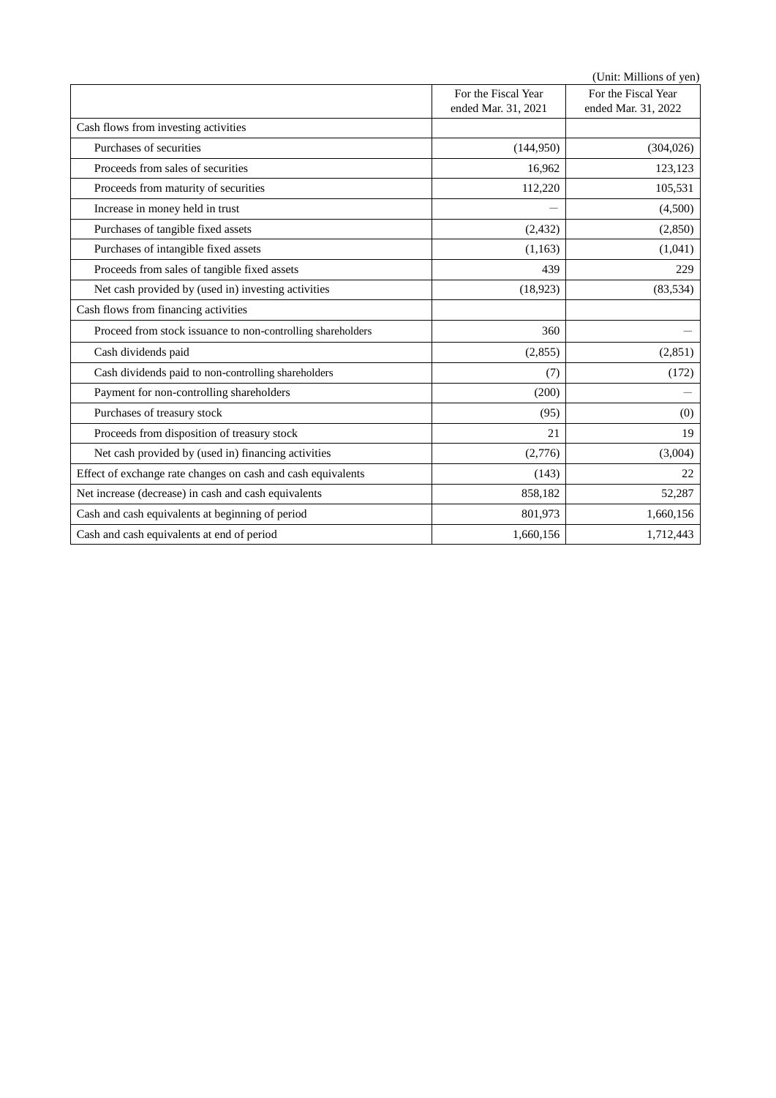|                                                              |                     | (Unit: Millions of yen) |
|--------------------------------------------------------------|---------------------|-------------------------|
|                                                              | For the Fiscal Year | For the Fiscal Year     |
|                                                              | ended Mar. 31, 2021 | ended Mar. 31, 2022     |
| Cash flows from investing activities                         |                     |                         |
| Purchases of securities                                      | (144,950)           | (304, 026)              |
| Proceeds from sales of securities                            | 16,962              | 123,123                 |
| Proceeds from maturity of securities                         | 112,220             | 105,531                 |
| Increase in money held in trust                              |                     | (4,500)                 |
| Purchases of tangible fixed assets                           | (2, 432)            | (2,850)                 |
| Purchases of intangible fixed assets                         | (1,163)             | (1,041)                 |
| Proceeds from sales of tangible fixed assets                 | 439                 | 229                     |
| Net cash provided by (used in) investing activities          | (18, 923)           | (83, 534)               |
| Cash flows from financing activities                         |                     |                         |
| Proceed from stock issuance to non-controlling shareholders  | 360                 |                         |
| Cash dividends paid                                          | (2,855)             | (2,851)                 |
| Cash dividends paid to non-controlling shareholders          | (7)                 | (172)                   |
| Payment for non-controlling shareholders                     | (200)               |                         |
| Purchases of treasury stock                                  | (95)                | (0)                     |
| Proceeds from disposition of treasury stock                  | 21                  | 19                      |
| Net cash provided by (used in) financing activities          | (2,776)             | (3,004)                 |
| Effect of exchange rate changes on cash and cash equivalents | (143)               | 22                      |
| Net increase (decrease) in cash and cash equivalents         | 858,182             | 52,287                  |
| Cash and cash equivalents at beginning of period             | 801,973             | 1,660,156               |
| Cash and cash equivalents at end of period                   | 1,660,156           | 1,712,443               |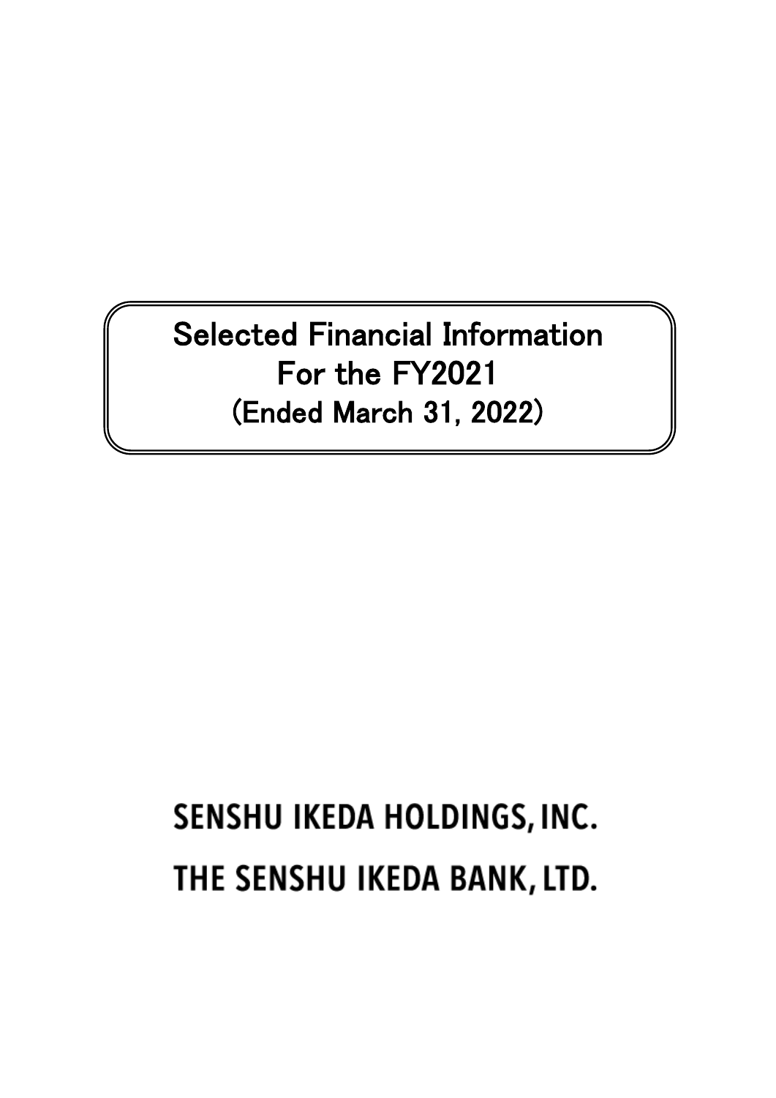Selected Financial Information For the FY2021 (Ended March 31, 2022)

# SENSHU IKEDA HOLDINGS, INC. THE SENSHU IKEDA BANK, LTD.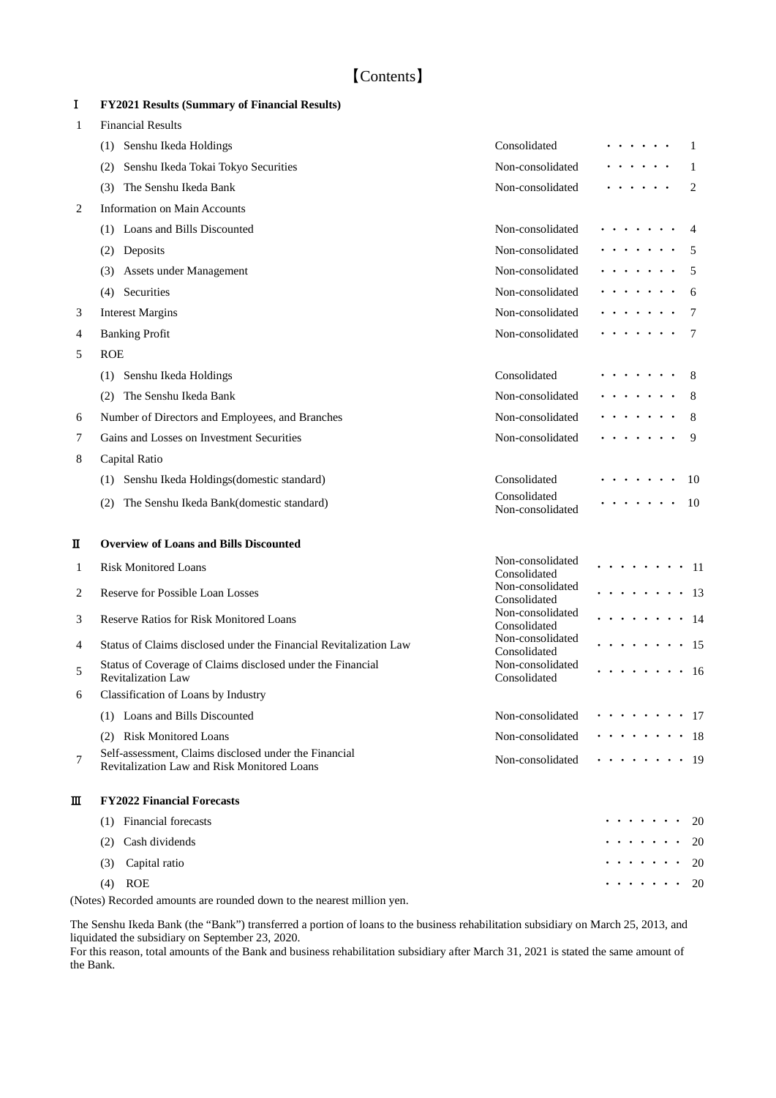# Ⅰ **FY2021 Results (Summary of Financial Results)**

| 1 | <b>Financial Results</b>                                                                                    |                                  |                                          |
|---|-------------------------------------------------------------------------------------------------------------|----------------------------------|------------------------------------------|
|   | Senshu Ikeda Holdings<br>(1)                                                                                | Consolidated                     | 1                                        |
|   | Senshu Ikeda Tokai Tokyo Securities<br>(2)                                                                  | Non-consolidated                 | 1                                        |
|   | The Senshu Ikeda Bank<br>(3)                                                                                | Non-consolidated                 | 2                                        |
| 2 | <b>Information on Main Accounts</b>                                                                         |                                  |                                          |
|   | (1) Loans and Bills Discounted                                                                              | Non-consolidated                 | 4                                        |
|   | (2) Deposits                                                                                                | Non-consolidated                 | 5                                        |
|   | Assets under Management<br>(3)                                                                              | Non-consolidated                 | 5                                        |
|   | (4) Securities                                                                                              | Non-consolidated                 | 6                                        |
| 3 | <b>Interest Margins</b>                                                                                     | Non-consolidated                 | 7                                        |
| 4 | <b>Banking Profit</b>                                                                                       | Non-consolidated                 | 7                                        |
| 5 | <b>ROE</b>                                                                                                  |                                  |                                          |
|   | (1) Senshu Ikeda Holdings                                                                                   | Consolidated                     | 8                                        |
|   | The Senshu Ikeda Bank<br>(2)                                                                                | Non-consolidated                 | 8                                        |
| 6 | Number of Directors and Employees, and Branches                                                             | Non-consolidated                 | 8                                        |
| 7 | Gains and Losses on Investment Securities                                                                   | Non-consolidated                 | 9                                        |
| 8 | Capital Ratio                                                                                               |                                  |                                          |
|   | (1) Senshu Ikeda Holdings(domestic standard)                                                                | Consolidated                     | 10                                       |
|   | The Senshu Ikeda Bank(domestic standard)<br>(2)                                                             | Consolidated<br>Non-consolidated | 10                                       |
| п | <b>Overview of Loans and Bills Discounted</b>                                                               |                                  |                                          |
| 1 | <b>Risk Monitored Loans</b>                                                                                 | Non-consolidated<br>Consolidated | - 11                                     |
| 2 | <b>Reserve for Possible Loan Losses</b>                                                                     | Non-consolidated<br>Consolidated | $\cdots$<br>$\cdot$ 13                   |
| 3 | <b>Reserve Ratios for Risk Monitored Loans</b>                                                              | Non-consolidated<br>Consolidated | $\cdot$ 14                               |
| 4 | Status of Claims disclosed under the Financial Revitalization Law                                           | Non-consolidated<br>Consolidated | $\cdot$ 15                               |
| 5 | Status of Coverage of Claims disclosed under the Financial<br><b>Revitalization Law</b>                     | Non-consolidated<br>Consolidated | . 16                                     |
| 6 | Classification of Loans by Industry                                                                         |                                  |                                          |
|   | (1) Loans and Bills Discounted                                                                              | Non-consolidated                 | . 17                                     |
|   | (2) Risk Monitored Loans                                                                                    | Non-consolidated                 | . 18                                     |
| 7 | Self-assessment, Claims disclosed under the Financial<br><b>Revitalization Law and Risk Monitored Loans</b> | Non-consolidated                 | . 19                                     |
| Ш | <b>FY2022 Financial Forecasts</b>                                                                           |                                  |                                          |
|   | (1) Financial forecasts                                                                                     |                                  | .<br>-20                                 |
|   | Cash dividends<br>(2)                                                                                       |                                  | $\sim$ , and $\sim$ , and $\sim$<br>20   |
|   | Capital ratio<br>(3)                                                                                        |                                  | .<br>20                                  |
|   | <b>ROE</b><br>(4)                                                                                           |                                  | $\sim$ $\sim$ $\sim$ $\sim$ $\sim$<br>20 |
|   | (Notes) Recorded amounts are rounded down to the nearest million yen.                                       |                                  |                                          |

The Senshu Ikeda Bank (the "Bank") transferred a portion of loans to the business rehabilitation subsidiary on March 25, 2013, and liquidated the subsidiary on September 23, 2020.

For this reason, total amounts of the Bank and business rehabilitation subsidiary after March 31, 2021 is stated the same amount of the Bank.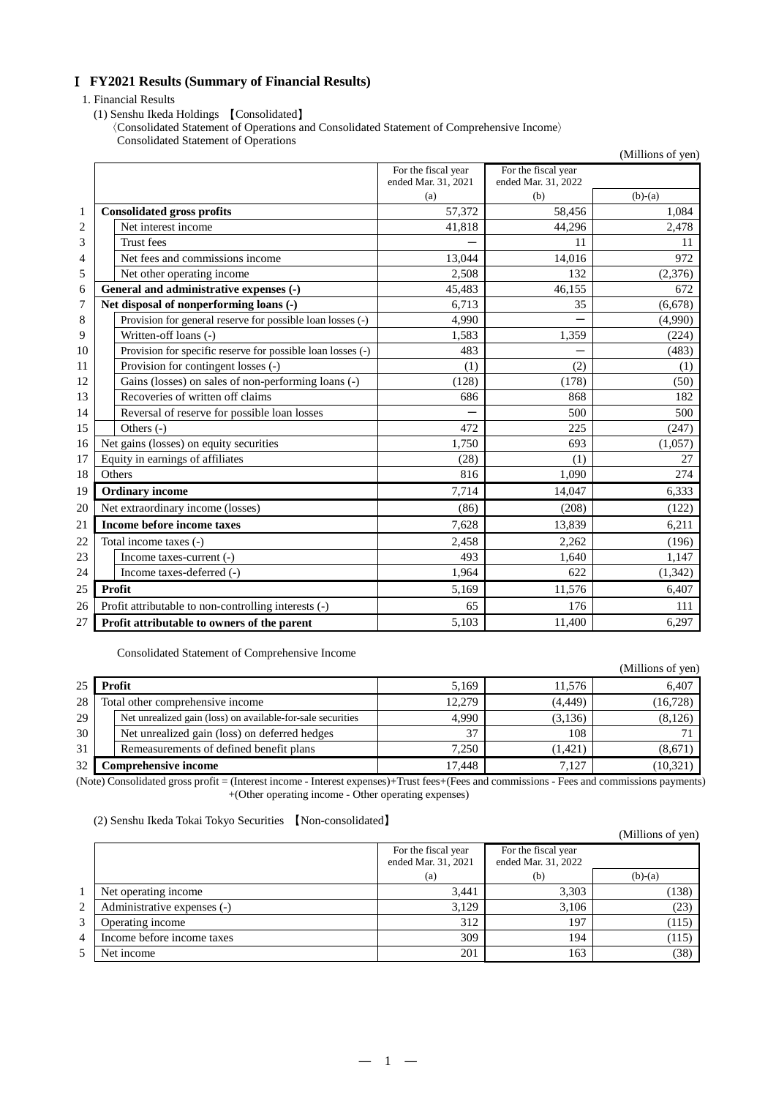# **FY2021 Results (Summary of Financial Results)**

#### 1. Financial Results

(1) Senshu Ikeda Holdings 【Consolidated】

〈Consolidated Statement of Operations and Consolidated Statement of Comprehensive Income〉 Consolidated Statement of Operations

|                |                                                             |                     |                     | (Millions of yen) |
|----------------|-------------------------------------------------------------|---------------------|---------------------|-------------------|
|                |                                                             | For the fiscal year | For the fiscal year |                   |
|                |                                                             | ended Mar. 31, 2021 | ended Mar. 31, 2022 |                   |
|                |                                                             | (a)                 | (b)                 | $(b)-(a)$         |
| 1              | <b>Consolidated gross profits</b>                           | 57,372              | 58,456              | 1,084             |
| $\overline{2}$ | Net interest income                                         | 41,818              | 44,296              | 2,478             |
| 3              | <b>Trust</b> fees                                           |                     | 11                  | 11                |
| 4              | Net fees and commissions income                             | 13,044              | 14,016              | 972               |
| 5              | Net other operating income                                  | 2,508               | 132                 | (2,376)           |
| 6              | General and administrative expenses (-)                     | 45,483              | 46,155              | 672               |
| 7              | Net disposal of nonperforming loans (-)                     | 6,713               | 35                  | (6,678)           |
| 8              | Provision for general reserve for possible loan losses (-)  | 4,990               |                     | (4,990)           |
| 9              | Written-off loans (-)                                       | 1,583               | 1,359               | (224)             |
| 10             | Provision for specific reserve for possible loan losses (-) | 483                 |                     | (483)             |
| 11             | Provision for contingent losses (-)                         | (1)                 | (2)                 | (1)               |
| 12             | Gains (losses) on sales of non-performing loans (-)         | (128)               | (178)               | (50)              |
| 13             | Recoveries of written off claims                            | 686                 | 868                 | 182               |
| 14             | Reversal of reserve for possible loan losses                |                     | 500                 | 500               |
| 15             | Others (-)                                                  | 472                 | 225                 | (247)             |
| 16             | Net gains (losses) on equity securities                     | 1,750               | 693                 | (1,057)           |
| 17             | Equity in earnings of affiliates                            | (28)                | (1)                 | 27                |
| 18             | Others                                                      | 816                 | 1,090               | 274               |
| 19             | <b>Ordinary income</b>                                      | 7,714               | 14.047              | 6,333             |
| 20             | Net extraordinary income (losses)                           | (86)                | (208)               | (122)             |
| 21             | Income before income taxes                                  | 7,628               | 13,839              | 6,211             |
| 22             | Total income taxes (-)                                      | 2,458               | 2,262               | (196)             |
| 23             | Income taxes-current (-)                                    | 493                 | 1.640               | 1,147             |
| 24             | Income taxes-deferred (-)                                   | 1,964               | 622                 | (1, 342)          |
| 25             | Profit                                                      | 5,169               | 11,576              | 6,407             |
| 26             | Profit attributable to non-controlling interests (-)        | 65                  | 176                 | 111               |
| 27             | Profit attributable to owners of the parent                 | 5,103               | 11,400              | 6,297             |

Consolidated Statement of Comprehensive Income

|    |                                                                 |                                    |                | (Millions of yen) |
|----|-----------------------------------------------------------------|------------------------------------|----------------|-------------------|
| 25 | Profit                                                          | 5,169                              | 11.576         | 6,407             |
| 28 | Total other comprehensive income                                | 12.279                             | (4, 449)       | (16, 728)         |
| 29 | Net unrealized gain (loss) on available-for-sale securities     | 4.990                              | (3,136)        | (8,126)           |
| 30 | Net unrealized gain (loss) on deferred hedges                   | 37                                 | 108            |                   |
| 31 | Remeasurements of defined benefit plans                         | 7.250                              | (1, 421)       | (8,671)           |
| 32 | Comprehensive income                                            | 17.448                             | 7.127          | (10, 321)         |
|    | $\alpha$ , and the second and $\alpha$ . The second of $\alpha$ | $\sim$ $\sim$ $\sim$ $\sim$ $\sim$ | $\blacksquare$ |                   |

(Note) Consolidated gross profit = (Interest income - Interest expenses)+Trust fees+(Fees and commissions - Fees and commissions payments) +(Other operating income - Other operating expenses)

(2) Senshu Ikeda Tokai Tokyo Securities 【Non-consolidated】

|   |                             |                                            |                                            | (Millions of yen) |
|---|-----------------------------|--------------------------------------------|--------------------------------------------|-------------------|
|   |                             | For the fiscal year<br>ended Mar. 31, 2021 | For the fiscal year<br>ended Mar. 31, 2022 |                   |
|   |                             | (a)                                        | (b)                                        | $(b)-(a)$         |
|   | Net operating income        | 3.441                                      | 3,303                                      | (138)             |
| 2 | Administrative expenses (-) | 3,129                                      | 3,106                                      | (23)              |
| 3 | Operating income            | 312                                        | 197                                        | (115)             |
| 4 | Income before income taxes  | 309                                        | 194                                        | (115)             |
| 5 | Net income                  | 201                                        | 163                                        | (38)              |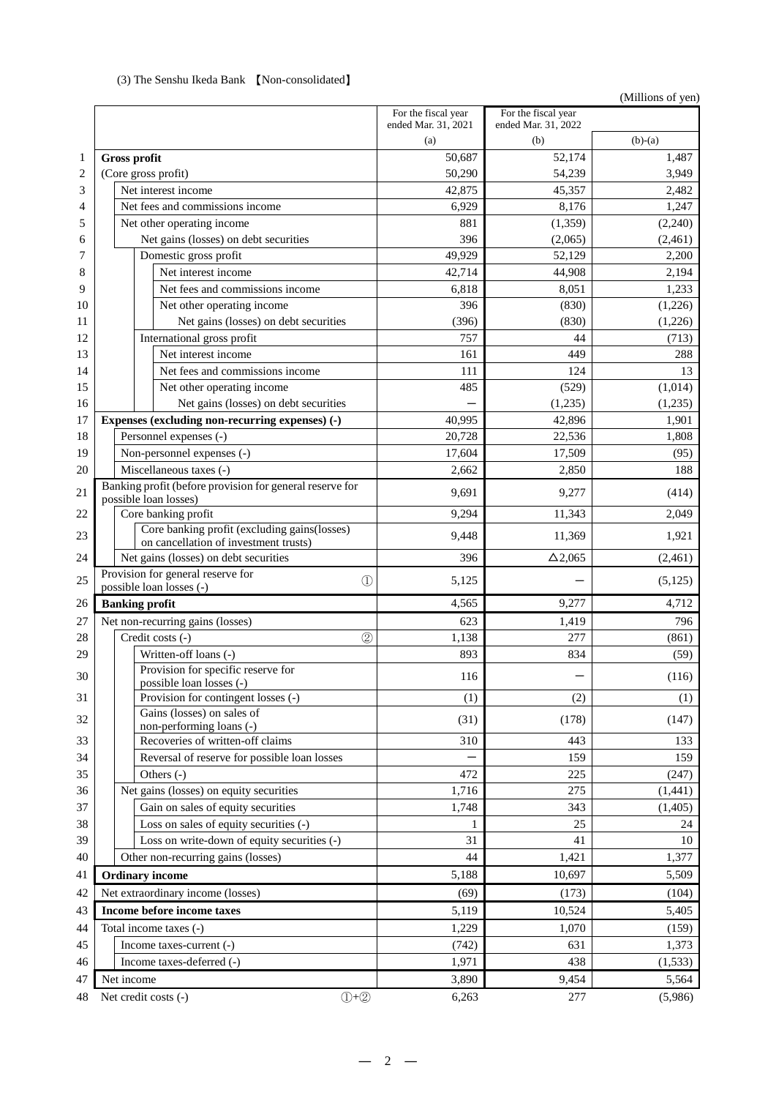|                |                                                                                   |                                            |                                            | (Millions of yen) |
|----------------|-----------------------------------------------------------------------------------|--------------------------------------------|--------------------------------------------|-------------------|
|                |                                                                                   | For the fiscal year<br>ended Mar. 31, 2021 | For the fiscal year<br>ended Mar. 31, 2022 |                   |
|                |                                                                                   | (a)                                        | (b)                                        | $(b)-(a)$         |
| 1              | <b>Gross profit</b>                                                               | 50,687                                     | 52,174                                     | 1,487             |
| $\overline{c}$ | (Core gross profit)                                                               | 50,290                                     | 54,239                                     | 3,949             |
| 3              | Net interest income                                                               | 42,875                                     | 45,357                                     | 2,482             |
| 4              | Net fees and commissions income                                                   | 6,929                                      | 8,176                                      | 1,247             |
| 5              | Net other operating income                                                        | 881                                        | (1, 359)                                   | (2,240)           |
| 6              | Net gains (losses) on debt securities                                             | 396                                        | (2,065)                                    | (2,461)           |
| 7              | Domestic gross profit                                                             | 49,929                                     | 52,129                                     | 2,200             |
| 8              | Net interest income                                                               | 42,714                                     | 44,908                                     | 2,194             |
| 9              | Net fees and commissions income                                                   | 6,818                                      | 8,051                                      | 1,233             |
| 10             | Net other operating income                                                        | 396                                        | (830)                                      | (1,226)           |
| 11             | Net gains (losses) on debt securities                                             | (396)                                      | (830)                                      | (1,226)           |
| 12             | International gross profit                                                        | 757                                        | 44                                         | (713)             |
| 13             | Net interest income                                                               | 161                                        | 449                                        | 288               |
| 14             | Net fees and commissions income                                                   | 111                                        | 124                                        | 13                |
| 15             | Net other operating income                                                        | 485                                        | (529)                                      | (1,014)           |
| 16             | Net gains (losses) on debt securities                                             |                                            | (1,235)                                    | (1,235)           |
| 17             | Expenses (excluding non-recurring expenses) (-)                                   | 40,995                                     | 42,896                                     | 1,901             |
| 18             | Personnel expenses (-)                                                            | 20,728                                     | 22,536                                     | 1,808             |
| 19             | Non-personnel expenses (-)                                                        | 17,604                                     | 17,509                                     | (95)              |
| 20             | Miscellaneous taxes (-)                                                           | 2,662                                      | 2,850                                      | 188               |
| 21             | Banking profit (before provision for general reserve for<br>possible loan losses) | 9,691                                      | 9,277                                      | (414)             |
| 22             | Core banking profit                                                               | 9,294                                      | 11,343                                     | 2,049             |
|                | Core banking profit (excluding gains(losses)                                      |                                            |                                            |                   |
| 23             | on cancellation of investment trusts)                                             | 9,448                                      | 11,369                                     | 1,921             |
| 24             | Net gains (losses) on debt securities                                             | 396                                        | $\Delta$ 2,065                             | (2,461)           |
| 25             | Provision for general reserve for<br>$^{\circledR}$<br>possible loan losses (-)   | 5,125                                      |                                            | (5, 125)          |
| 26             | <b>Banking profit</b>                                                             | 4,565                                      | 9,277                                      | 4,712             |
| 27             | Net non-recurring gains (losses)                                                  | 623                                        | 1,419                                      | 796               |
| 28             | $\circled{2}$<br>Credit costs (-)                                                 | 1,138                                      | 277                                        | (861)             |
| 29             | Written-off loans (-)                                                             | 893                                        | 834                                        | (59)              |
| 30             | Provision for specific reserve for                                                | 116                                        |                                            | (116)             |
|                | possible loan losses (-)                                                          |                                            |                                            |                   |
| 31             | Provision for contingent losses (-)                                               | (1)                                        | (2)                                        | (1)               |
| 32             | Gains (losses) on sales of<br>non-performing loans (-)                            | (31)                                       | (178)                                      | (147)             |
| 33             | Recoveries of written-off claims                                                  | 310                                        | 443                                        | 133               |
| 34             | Reversal of reserve for possible loan losses                                      |                                            | 159                                        | 159               |
| 35             | Others $(-)$                                                                      | 472                                        | 225                                        | (247)             |
| 36             | Net gains (losses) on equity securities                                           | 1,716                                      | 275                                        | (1, 441)          |
| 37             | Gain on sales of equity securities                                                | 1,748                                      | 343                                        | (1, 405)          |
| 38             | Loss on sales of equity securities (-)                                            | 1                                          | 25                                         | 24                |
| 39             | Loss on write-down of equity securities (-)                                       | 31                                         | 41                                         | 10                |
| 40             | Other non-recurring gains (losses)                                                | 44                                         | 1,421                                      | 1,377             |
| 41             | <b>Ordinary income</b>                                                            | 5,188                                      | 10,697                                     | 5,509             |
| 42             | Net extraordinary income (losses)                                                 | (69)                                       | (173)                                      | (104)             |
| 43             | Income before income taxes                                                        | 5,119                                      | 10,524                                     | 5,405             |
| 44             | Total income taxes (-)                                                            | 1,229                                      | 1,070                                      | (159)             |
| 45             | Income taxes-current (-)                                                          | (742)                                      | 631                                        | 1,373             |
| 46             | Income taxes-deferred (-)                                                         | 1,971                                      | 438                                        | (1, 533)          |
| 47             | Net income                                                                        | 3,890                                      | 9,454                                      | 5,564             |
| 48             | $(1+2)$<br>Net credit costs (-)                                                   | 6,263                                      | 277                                        | (5,986)           |

# (3) The Senshu Ikeda Bank 【Non-consolidated】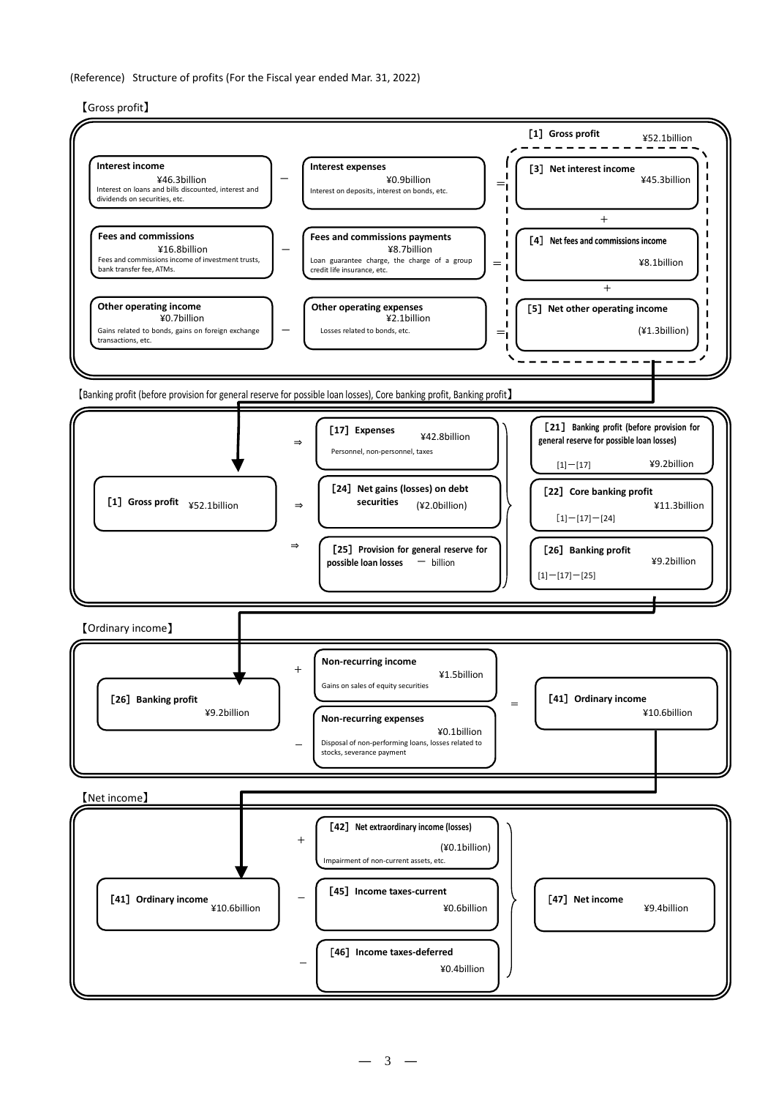(Reference) Structure of profits (For the Fiscal year ended Mar. 31, 2022)

【Gross profit】

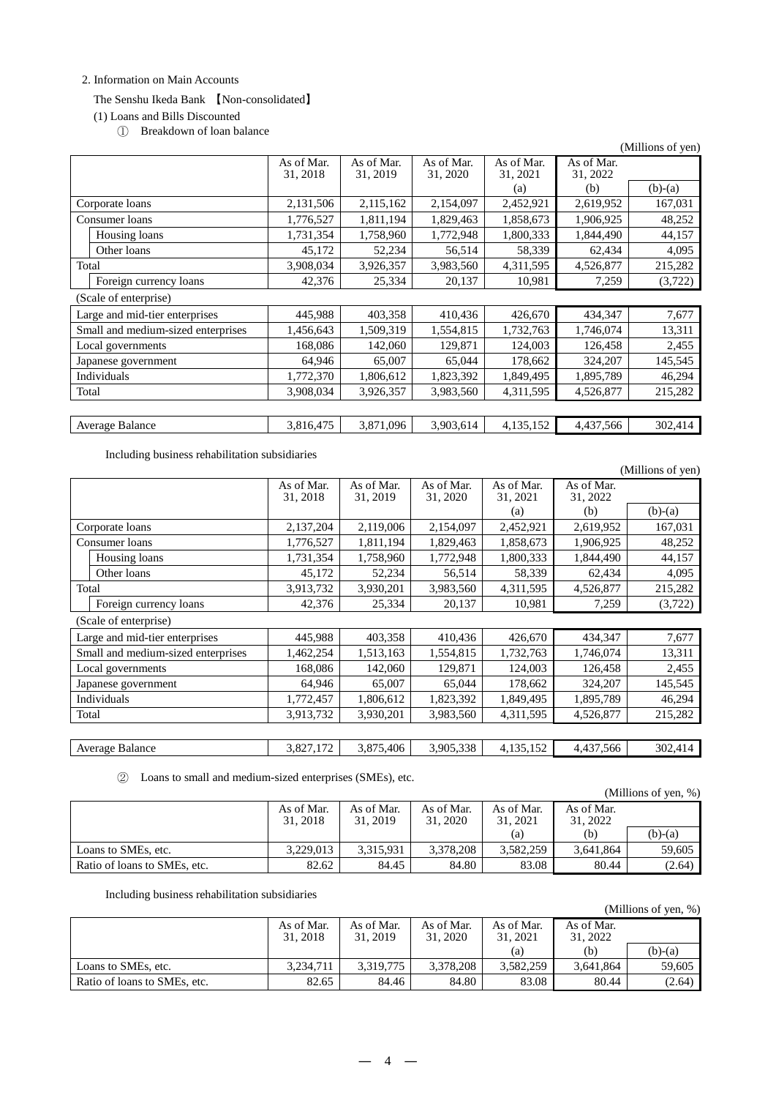#### 2. Information on Main Accounts

#### The Senshu Ikeda Bank 【Non-consolidated】

(1) Loans and Bills Discounted

① Breakdown of loan balance

|                                    |                        |                        |                        |                        |                        | (Millions of yen) |
|------------------------------------|------------------------|------------------------|------------------------|------------------------|------------------------|-------------------|
|                                    | As of Mar.<br>31, 2018 | As of Mar.<br>31, 2019 | As of Mar.<br>31, 2020 | As of Mar.<br>31, 2021 | As of Mar.<br>31, 2022 |                   |
|                                    |                        |                        |                        | (a)                    | (b)                    | $(b)-(a)$         |
| Corporate loans                    | 2,131,506              | 2,115,162              | 2,154,097              | 2,452,921              | 2,619,952              | 167,031           |
| Consumer loans                     | 1,776,527              | 1,811,194              | 1,829,463              | 1,858,673              | 1,906,925              | 48,252            |
| Housing loans                      | 1,731,354              | 1,758,960              | 1,772,948              | 1,800,333              | 1,844,490              | 44,157            |
| Other loans                        | 45,172                 | 52,234                 | 56,514                 | 58,339                 | 62,434                 | 4,095             |
| Total                              | 3,908,034              | 3,926,357              | 3,983,560              | 4,311,595              | 4,526,877              | 215,282           |
| Foreign currency loans             | 42,376                 | 25,334                 | 20,137                 | 10,981                 | 7,259                  | (3,722)           |
| (Scale of enterprise)              |                        |                        |                        |                        |                        |                   |
| Large and mid-tier enterprises     | 445,988                | 403,358                | 410,436                | 426,670                | 434,347                | 7,677             |
| Small and medium-sized enterprises | 1,456,643              | 1,509,319              | 1,554,815              | 1,732,763              | 1,746,074              | 13,311            |
| Local governments                  | 168,086                | 142,060                | 129,871                | 124,003                | 126,458                | 2,455             |
| Japanese government                | 64,946                 | 65,007                 | 65,044                 | 178,662                | 324,207                | 145,545           |
| Individuals                        | 1,772,370              | 1,806,612              | 1,823,392              | 1,849,495              | 1,895,789              | 46,294            |
| Total                              | 3,908,034              | 3,926,357              | 3,983,560              | 4,311,595              | 4,526,877              | 215,282           |
|                                    |                        |                        |                        |                        |                        |                   |
| Average Balance                    | 3,816,475              | 3,871,096              | 3,903,614              | 4,135,152              | 4,437,566              | 302,414           |

Including business rehabilitation subsidiaries

|       |                                    |                        |                        |                        |                        |                        | (Millions of yen) |
|-------|------------------------------------|------------------------|------------------------|------------------------|------------------------|------------------------|-------------------|
|       |                                    | As of Mar.<br>31, 2018 | As of Mar.<br>31, 2019 | As of Mar.<br>31, 2020 | As of Mar.<br>31, 2021 | As of Mar.<br>31, 2022 |                   |
|       |                                    |                        |                        |                        | (a)                    | (b)                    | $(b)-(a)$         |
|       | Corporate loans                    | 2,137,204              | 2,119,006              | 2,154,097              | 2,452,921              | 2,619,952              | 167,031           |
|       | Consumer loans                     | 1,776,527              | 1,811,194              | 1,829,463              | 1,858,673              | 1,906,925              | 48,252            |
|       | Housing loans                      | 1,731,354              | 1,758,960              | 1,772,948              | 1,800,333              | 1,844,490              | 44,157            |
|       | Other loans                        | 45,172                 | 52,234                 | 56,514                 | 58,339                 | 62,434                 | 4,095             |
| Total |                                    | 3,913,732              | 3,930,201              | 3,983,560              | 4,311,595              | 4,526,877              | 215,282           |
|       | Foreign currency loans             | 42,376                 | 25,334                 | 20,137                 | 10,981                 | 7,259                  | (3,722)           |
|       | (Scale of enterprise)              |                        |                        |                        |                        |                        |                   |
|       | Large and mid-tier enterprises     | 445,988                | 403,358                | 410,436                | 426,670                | 434,347                | 7,677             |
|       | Small and medium-sized enterprises | 1,462,254              | 1,513,163              | 1,554,815              | 1,732,763              | 1,746,074              | 13,311            |
|       | Local governments                  | 168,086                | 142,060                | 129,871                | 124,003                | 126,458                | 2,455             |
|       | Japanese government                | 64,946                 | 65,007                 | 65,044                 | 178,662                | 324,207                | 145,545           |
|       | Individuals                        | 1,772,457              | 1,806,612              | 1,823,392              | 1,849,495              | 1,895,789              | 46,294            |
| Total |                                    | 3,913,732              | 3,930,201              | 3,983,560              | 4,311,595              | 4,526,877              | 215,282           |
|       |                                    |                        |                        |                        |                        |                        |                   |
|       | Average Balance                    | 3,827,172              | 3,875,406              | 3,905,338              | 4,135,152              | 4,437,566              | 302,414           |

② Loans to small and medium-sized enterprises (SMEs), etc.

|                              |                        |                        |                        |                        |                        | (Millions of yen, $%$ ) |
|------------------------------|------------------------|------------------------|------------------------|------------------------|------------------------|-------------------------|
|                              | As of Mar.<br>31, 2018 | As of Mar.<br>31, 2019 | As of Mar.<br>31, 2020 | As of Mar.<br>31, 2021 | As of Mar.<br>31, 2022 |                         |
|                              |                        |                        |                        | (a)                    | (b)                    | $(b)-(a)$               |
| Loans to SMEs, etc.          | 3.229.013              | 3.315.931              | 3.378.208              | 3.582.259              | 3.641.864              | 59.605                  |
| Ratio of loans to SMEs, etc. | 82.62                  | 84.45                  | 84.80                  | 83.08                  | 80.44                  | (2.64)                  |

Including business rehabilitation subsidiaries

|                              |                        |                        |                        |                        |                        | $\frac{1}{1}$ |
|------------------------------|------------------------|------------------------|------------------------|------------------------|------------------------|---------------|
|                              | As of Mar.<br>31, 2018 | As of Mar.<br>31, 2019 | As of Mar.<br>31, 2020 | As of Mar.<br>31, 2021 | As of Mar.<br>31, 2022 |               |
|                              |                        |                        |                        | (a)                    | (b)                    | $(b)-(a)$     |
| Loans to SMEs, etc.          | 3.234.711              | 3.319.775              | 3.378.208              | 3,582,259              | 3.641.864              | 59,605        |
| Ratio of loans to SMEs, etc. | 82.65                  | 84.46                  | 84.80                  | 83.08                  | 80.44                  | (2.64)        |

# (Millions of yen, %)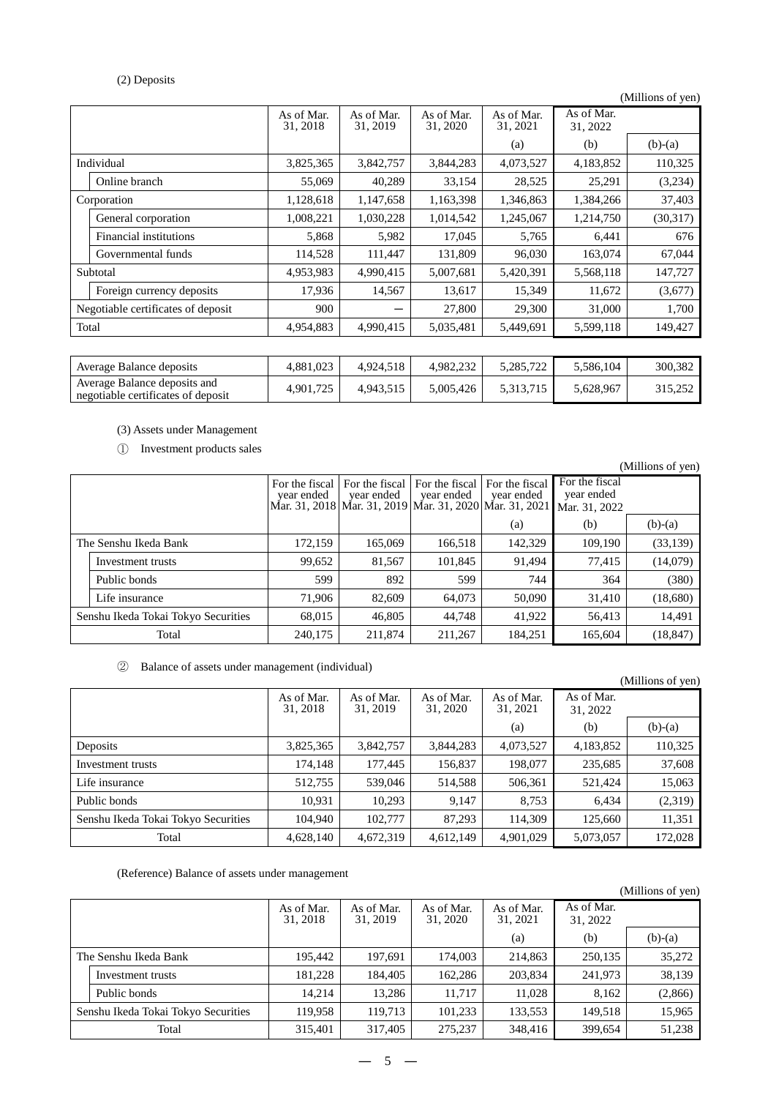# (2) Deposits

|                                    |                        |                        |                        |                        |                        | (Millions of yen) |
|------------------------------------|------------------------|------------------------|------------------------|------------------------|------------------------|-------------------|
|                                    | As of Mar.<br>31, 2018 | As of Mar.<br>31, 2019 | As of Mar.<br>31, 2020 | As of Mar.<br>31, 2021 | As of Mar.<br>31, 2022 |                   |
|                                    |                        |                        |                        | (a)                    | (b)                    | $(b)-(a)$         |
| Individual                         | 3,825,365              | 3,842,757              | 3,844,283              | 4,073,527              | 4,183,852              | 110,325           |
| Online branch                      | 55,069                 | 40,289                 | 33,154                 | 28,525                 | 25,291                 | (3,234)           |
| Corporation                        | 1,128,618              | 1,147,658              | 1,163,398              | 1,346,863              | 1,384,266              | 37,403            |
| General corporation                | 1,008,221              | 1,030,228              | 1,014,542              | 1,245,067              | 1,214,750              | (30,317)          |
| Financial institutions             | 5,868                  | 5,982                  | 17,045                 | 5,765                  | 6,441                  | 676               |
| Governmental funds                 | 114,528                | 111,447                | 131,809                | 96,030                 | 163,074                | 67,044            |
| Subtotal                           | 4,953,983              | 4,990,415              | 5,007,681              | 5,420,391              | 5,568,118              | 147,727           |
| Foreign currency deposits          | 17,936                 | 14,567                 | 13,617                 | 15,349                 | 11,672                 | (3,677)           |
| Negotiable certificates of deposit | 900                    |                        | 27,800                 | 29,300                 | 31,000                 | 1,700             |
| Total                              | 4,954,883              | 4,990,415              | 5,035,481              | 5,449,691              | 5,599,118              | 149,427           |
|                                    |                        |                        |                        |                        |                        |                   |
| Assaugas Dalange denomite          | 1.001.022              | 1.021.510              | 1.092.22               | 5.005.702              | 5506104                | 200.292.          |

| Average Balance deposits                                           | 4.881.023 | 4.924.518 | 4.982.232 | 5.285.722 | 5.586.104 | 300.382 |
|--------------------------------------------------------------------|-----------|-----------|-----------|-----------|-----------|---------|
| Average Balance deposits and<br>negotiable certificates of deposit | 4,901,725 | 4.943.515 | .005.426  | 5.313.715 | 5.628.967 | 315,252 |

# (3) Assets under Management

① Investment products sales

|                                     |                   |                              |                              |                                                                                               |                              |                                               | (Millions of yen) |
|-------------------------------------|-------------------|------------------------------|------------------------------|-----------------------------------------------------------------------------------------------|------------------------------|-----------------------------------------------|-------------------|
|                                     |                   | For the fiscal<br>year ended | For the fiscal<br>year ended | For the fiscal<br>year ended<br>Mar. 31, 2018   Mar. 31, 2019   Mar. 31, 2020   Mar. 31, 2021 | For the fiscal<br>year ended | For the fiscal<br>year ended<br>Mar. 31, 2022 |                   |
|                                     |                   |                              |                              |                                                                                               | (a)                          | (b)                                           | $(b)-(a)$         |
| The Senshu Ikeda Bank               |                   | 172,159                      | 165,069                      | 166,518                                                                                       | 142,329                      | 109,190                                       | (33, 139)         |
|                                     | Investment trusts | 99,652                       | 81,567                       | 101,845                                                                                       | 91,494                       | 77,415                                        | (14,079)          |
|                                     | Public bonds      | 599                          | 892                          | 599                                                                                           | 744                          | 364                                           | (380)             |
|                                     | Life insurance    | 71.906                       | 82,609                       | 64,073                                                                                        | 50,090                       | 31,410                                        | (18,680)          |
| Senshu Ikeda Tokai Tokyo Securities |                   | 68,015                       | 46,805                       | 44,748                                                                                        | 41,922                       | 56,413                                        | 14,491            |
|                                     | Total             | 240,175                      | 211,874                      | 211,267                                                                                       | 184,251                      | 165,604                                       | (18, 847)         |

# ② Balance of assets under management (individual)

|                                     |                        |                        |                        |                        |                        | (Millions of yen) |
|-------------------------------------|------------------------|------------------------|------------------------|------------------------|------------------------|-------------------|
|                                     | As of Mar.<br>31, 2018 | As of Mar.<br>31, 2019 | As of Mar.<br>31, 2020 | As of Mar.<br>31, 2021 | As of Mar.<br>31, 2022 |                   |
|                                     |                        |                        |                        | (a)                    | (b)                    | $(b)-(a)$         |
| Deposits                            | 3,825,365              | 3,842,757              | 3,844,283              | 4,073,527              | 4,183,852              | 110,325           |
| Investment trusts                   | 174.148                | 177,445                | 156,837                | 198,077                | 235,685                | 37,608            |
| Life insurance                      | 512.755                | 539,046                | 514,588                | 506,361                | 521.424                | 15,063            |
| Public bonds                        | 10,931                 | 10,293                 | 9,147                  | 8,753                  | 6,434                  | (2,319)           |
| Senshu Ikeda Tokai Tokyo Securities | 104.940                | 102,777                | 87,293                 | 114.309                | 125,660                | 11,351            |
| Total                               | 4,628,140              | 4,672,319              | 4,612,149              | 4,901,029              | 5,073,057              | 172,028           |

#### (Reference) Balance of assets under management

|                       |                                     |                        |                        |                        |                        |                        | (Millions of yen) |
|-----------------------|-------------------------------------|------------------------|------------------------|------------------------|------------------------|------------------------|-------------------|
|                       |                                     | As of Mar.<br>31, 2018 | As of Mar.<br>31, 2019 | As of Mar.<br>31, 2020 | As of Mar.<br>31, 2021 | As of Mar.<br>31, 2022 |                   |
|                       |                                     |                        |                        |                        | (a)                    | (b)                    | $(b)-(a)$         |
| The Senshu Ikeda Bank |                                     | 195,442                | 197,691                | 174,003                | 214,863                | 250,135                | 35,272            |
|                       | Investment trusts                   | 181.228                | 184,405                | 162,286                | 203.834                | 241.973                | 38,139            |
|                       | Public bonds                        | 14.214                 | 13,286                 | 11.717                 | 11,028                 | 8,162                  | (2,866)           |
|                       | Senshu Ikeda Tokai Tokyo Securities | 119.958                | 119.713                | 101,233                | 133,553                | 149.518                | 15,965            |
|                       | Total                               | 315,401                | 317,405                | 275,237                | 348,416                | 399,654                | 51,238            |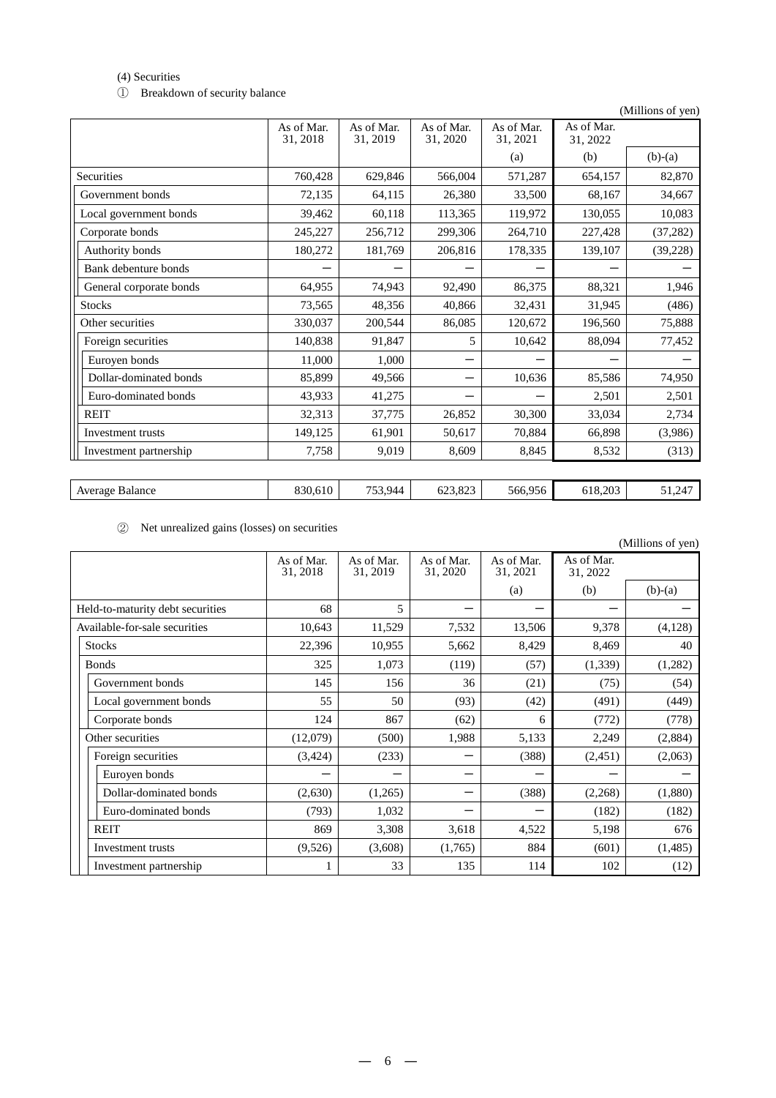#### (4) Securities

① Breakdown of security balance

|                         |                        |                        |                        |                        |                        | (Millions of yen) |
|-------------------------|------------------------|------------------------|------------------------|------------------------|------------------------|-------------------|
|                         | As of Mar.<br>31, 2018 | As of Mar.<br>31, 2019 | As of Mar.<br>31, 2020 | As of Mar.<br>31, 2021 | As of Mar.<br>31, 2022 |                   |
|                         |                        |                        |                        | (a)                    | (b)                    | $(b)-(a)$         |
| Securities              | 760,428                | 629,846                | 566,004                | 571,287                | 654,157                | 82,870            |
| Government bonds        | 72,135                 | 64,115                 | 26,380                 | 33,500                 | 68,167                 | 34,667            |
| Local government bonds  | 39,462                 | 60,118                 | 113,365                | 119,972                | 130,055                | 10,083            |
| Corporate bonds         | 245,227                | 256,712                | 299,306                | 264,710                | 227,428                | (37, 282)         |
| Authority bonds         | 180,272                | 181,769                | 206,816                | 178,335                | 139,107                | (39, 228)         |
| Bank debenture bonds    |                        |                        |                        |                        |                        |                   |
| General corporate bonds | 64,955                 | 74,943                 | 92,490                 | 86,375                 | 88,321                 | 1,946             |
| <b>Stocks</b>           | 73,565                 | 48,356                 | 40,866                 | 32,431                 | 31,945                 | (486)             |
| Other securities        | 330,037                | 200,544                | 86,085                 | 120,672                | 196,560                | 75,888            |
| Foreign securities      | 140,838                | 91,847                 | 5                      | 10,642                 | 88,094                 | 77,452            |
| Euroyen bonds           | 11,000                 | 1,000                  |                        |                        |                        |                   |
| Dollar-dominated bonds  | 85.899                 | 49.566                 |                        | 10,636                 | 85,586                 | 74,950            |
| Euro-dominated bonds    | 43,933                 | 41,275                 |                        |                        | 2,501                  | 2,501             |
| <b>REIT</b>             | 32,313                 | 37,775                 | 26,852                 | 30,300                 | 33,034                 | 2,734             |
| Investment trusts       | 149,125                | 61,901                 | 50,617                 | 70,884                 | 66,898                 | (3,986)           |
| Investment partnership  | 7,758                  | 9.019                  | 8,609                  | 8,845                  | 8,532                  | (313)             |
|                         |                        |                        |                        |                        |                        |                   |

| Average Balance | 830.610 |         |         |         |         | - <del>.</del> |
|-----------------|---------|---------|---------|---------|---------|----------------|
|                 |         | 753 944 | 623.823 | 566.956 | 618.203 | 247            |

② Net unrealized gains (losses) on securities

|                                  |                        |                        |                        |                        |                        | (Millions of yen) |
|----------------------------------|------------------------|------------------------|------------------------|------------------------|------------------------|-------------------|
|                                  | As of Mar.<br>31, 2018 | As of Mar.<br>31, 2019 | As of Mar.<br>31, 2020 | As of Mar.<br>31, 2021 | As of Mar.<br>31, 2022 |                   |
|                                  |                        |                        |                        | (a)                    | (b)                    | $(b)-(a)$         |
| Held-to-maturity debt securities | 68                     | 5                      |                        |                        |                        |                   |
| Available-for-sale securities    | 10,643                 | 11,529                 | 7,532                  | 13,506                 | 9,378                  | (4, 128)          |
| <b>Stocks</b>                    | 22,396                 | 10,955                 | 5,662                  | 8,429                  | 8,469                  | 40                |
| <b>Bonds</b>                     | 325                    | 1,073                  | (119)                  | (57)                   | (1, 339)               | (1,282)           |
| Government bonds                 | 145                    | 156                    | 36                     | (21)                   | (75)                   | (54)              |
| Local government bonds           | 55                     | 50                     | (93)                   | (42)                   | (491)                  | (449)             |
| Corporate bonds                  | 124                    | 867                    | (62)                   | 6                      | (772)                  | (778)             |
| Other securities                 | (12,079)               | (500)                  | 1,988                  | 5,133                  | 2,249                  | (2,884)           |
| Foreign securities               | (3, 424)               | (233)                  |                        | (388)                  | (2,451)                | (2,063)           |
| Euroyen bonds                    |                        |                        |                        |                        |                        |                   |
| Dollar-dominated bonds           | (2,630)                | (1,265)                |                        | (388)                  | (2,268)                | (1,880)           |
| Euro-dominated bonds             | (793)                  | 1,032                  |                        |                        | (182)                  | (182)             |
| <b>REIT</b>                      | 869                    | 3,308                  | 3,618                  | 4,522                  | 5,198                  | 676               |
| Investment trusts                | (9,526)                | (3,608)                | (1,765)                | 884                    | (601)                  | (1, 485)          |
| Investment partnership           |                        | 33                     | 135                    | 114                    | 102                    | (12)              |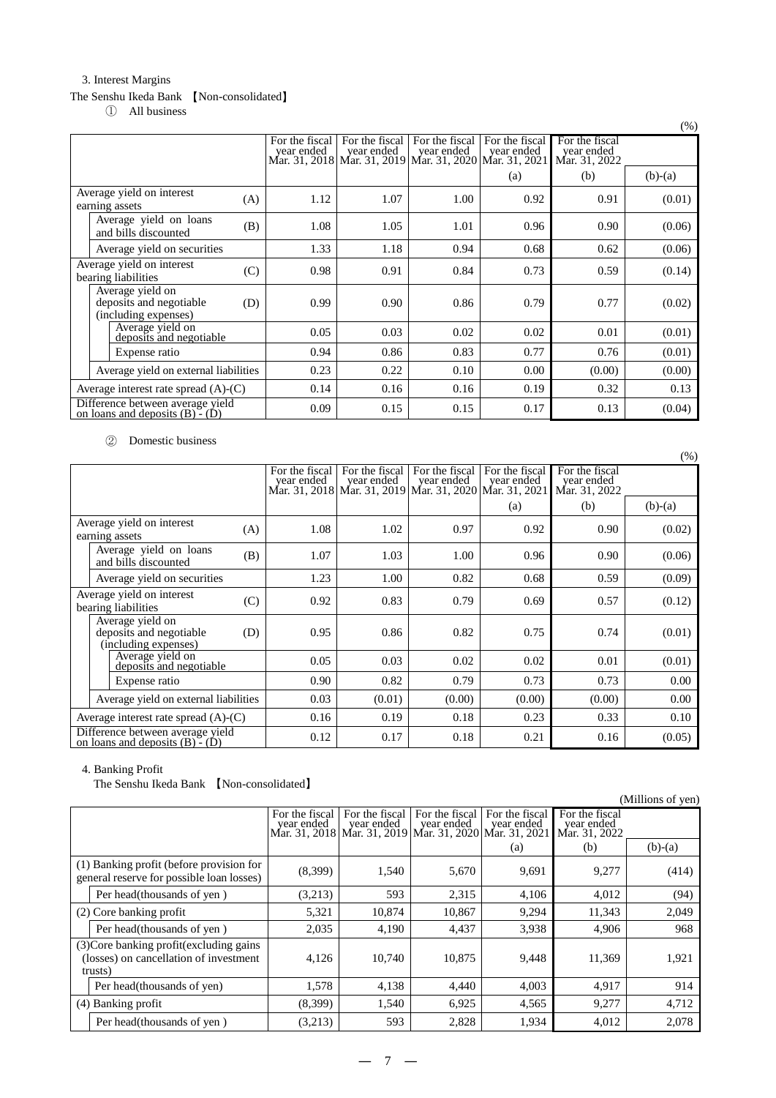# 3. Interest Margins

# The Senshu Ikeda Bank 【Non-consolidated】

① All business

|                                                                            |                              |                              |                                                                                               |                              |                                               | (% )      |
|----------------------------------------------------------------------------|------------------------------|------------------------------|-----------------------------------------------------------------------------------------------|------------------------------|-----------------------------------------------|-----------|
|                                                                            | For the fiscal<br>year ended | For the fiscal<br>year ended | For the fiscal<br>year ended<br>Mar. 31, 2018   Mar. 31, 2019   Mar. 31, 2020   Mar. 31, 2021 | For the fiscal<br>year ended | For the fiscal<br>year ended<br>Mar. 31, 2022 |           |
|                                                                            |                              |                              |                                                                                               | (a)                          | (b)                                           | $(b)-(a)$ |
| Average yield on interest<br>(A)<br>earning assets                         | 1.12                         | 1.07                         | 1.00                                                                                          | 0.92                         | 0.91                                          | (0.01)    |
| Average yield on loans<br>(B)<br>and bills discounted                      | 1.08                         | 1.05                         | 1.01                                                                                          | 0.96                         | 0.90                                          | (0.06)    |
| Average yield on securities                                                | 1.33                         | 1.18                         | 0.94                                                                                          | 0.68                         | 0.62                                          | (0.06)    |
| Average yield on interest<br>(C)<br>bearing liabilities                    | 0.98                         | 0.91                         | 0.84                                                                                          | 0.73                         | 0.59                                          | (0.14)    |
| Average yield on<br>deposits and negotiable<br>(D)<br>(including expenses) | 0.99                         | 0.90                         | 0.86                                                                                          | 0.79                         | 0.77                                          | (0.02)    |
| Average yield on<br>deposits and negotiable                                | 0.05                         | 0.03                         | 0.02                                                                                          | 0.02                         | 0.01                                          | (0.01)    |
| Expense ratio                                                              | 0.94                         | 0.86                         | 0.83                                                                                          | 0.77                         | 0.76                                          | (0.01)    |
| Average yield on external liabilities                                      | 0.23                         | 0.22                         | 0.10                                                                                          | 0.00                         | (0.00)                                        | (0.00)    |
| Average interest rate spread $(A)$ - $(C)$                                 | 0.14                         | 0.16                         | 0.16                                                                                          | 0.19                         | 0.32                                          | 0.13      |
| Difference between average yield<br>on loans and deposits $(B) - (D)$      | 0.09                         | 0.15                         | 0.15                                                                                          | 0.17                         | 0.13                                          | (0.04)    |

# ② Domestic business

|                                                                       |     |                              |                              |                                                                                               |                              |                                               | (% )      |
|-----------------------------------------------------------------------|-----|------------------------------|------------------------------|-----------------------------------------------------------------------------------------------|------------------------------|-----------------------------------------------|-----------|
|                                                                       |     | For the fiscal<br>vear ended | For the fiscal<br>year ended | For the fiscal<br>year ended<br>Mar. 31, 2018   Mar. 31, 2019   Mar. 31, 2020   Mar. 31, 2021 | For the fiscal<br>year ended | For the fiscal<br>year ended<br>Mar. 31, 2022 |           |
|                                                                       |     |                              |                              |                                                                                               | (a)                          | (b)                                           | $(b)-(a)$ |
| Average yield on interest<br>earning assets                           | (A) | 1.08                         | 1.02                         | 0.97                                                                                          | 0.92                         | 0.90                                          | (0.02)    |
| Average yield on loans<br>and bills discounted                        | (B) | 1.07                         | 1.03                         | 1.00                                                                                          | 0.96                         | 0.90                                          | (0.06)    |
| Average yield on securities                                           |     | 1.23                         | 1.00                         | 0.82                                                                                          | 0.68                         | 0.59                                          | (0.09)    |
| Average yield on interest<br>(C)<br>bearing liabilities               |     | 0.92                         | 0.83                         | 0.79                                                                                          | 0.69                         | 0.57                                          | (0.12)    |
| Average yield on<br>deposits and negotiable<br>(including expenses)   | (D) | 0.95                         | 0.86                         | 0.82                                                                                          | 0.75                         | 0.74                                          | (0.01)    |
| Average yield on<br>deposits and negotiable                           |     | 0.05                         | 0.03                         | 0.02                                                                                          | 0.02                         | 0.01                                          | (0.01)    |
| Expense ratio                                                         |     | 0.90                         | 0.82                         | 0.79                                                                                          | 0.73                         | 0.73                                          | 0.00      |
| Average yield on external liabilities                                 |     | 0.03                         | (0.01)                       | (0.00)                                                                                        | (0.00)                       | (0.00)                                        | 0.00      |
| Average interest rate spread $(A)$ - $(C)$                            |     | 0.16                         | 0.19                         | 0.18                                                                                          | 0.23                         | 0.33                                          | 0.10      |
| Difference between average yield<br>on loans and deposits $(B) - (D)$ |     | 0.12                         | 0.17                         | 0.18                                                                                          | 0.21                         | 0.16                                          | (0.05)    |

# 4. Banking Profit

The Senshu Ikeda Bank 【Non-consolidated】

|                                                                                               |                                                                                         |                |                |                |                                               | (Millions of yen) |
|-----------------------------------------------------------------------------------------------|-----------------------------------------------------------------------------------------|----------------|----------------|----------------|-----------------------------------------------|-------------------|
|                                                                                               | For the fiscal<br>year ended<br>Mar. 31, 2018 Mar. 31, 2019 Mar. 31, 2020 Mar. 31, 2021 | For the fiscal | For the fiscal | For the fiscal | For the fiscal<br>year ended<br>Mar. 31, 2022 |                   |
|                                                                                               |                                                                                         |                |                | (a)            | (b)                                           | $(b)-(a)$         |
| (1) Banking profit (before provision for<br>general reserve for possible loan losses)         | (8,399)                                                                                 | 1,540          | 5,670          | 9,691          | 9,277                                         | (414)             |
| Per head (thousands of yen)                                                                   | (3,213)                                                                                 | 593            | 2,315          | 4,106          | 4,012                                         | (94)              |
| (2) Core banking profit                                                                       | 5,321                                                                                   | 10,874         | 10,867         | 9,294          | 11,343                                        | 2,049             |
| Per head (thousands of yen)                                                                   | 2,035                                                                                   | 4,190          | 4,437          | 3,938          | 4,906                                         | 968               |
| (3) Core banking profit (excluding gains<br>(losses) on cancellation of investment<br>trusts) | 4,126                                                                                   | 10.740         | 10,875         | 9,448          | 11,369                                        | 1,921             |
| Per head (thousands of yen)                                                                   | 1,578                                                                                   | 4,138          | 4,440          | 4,003          | 4,917                                         | 914               |
| (4) Banking profit                                                                            | (8,399)                                                                                 | 1,540          | 6,925          | 4,565          | 9,277                                         | 4,712             |
| Per head(thousands of yen)                                                                    | (3,213)                                                                                 | 593            | 2,828          | 1,934          | 4,012                                         | 2,078             |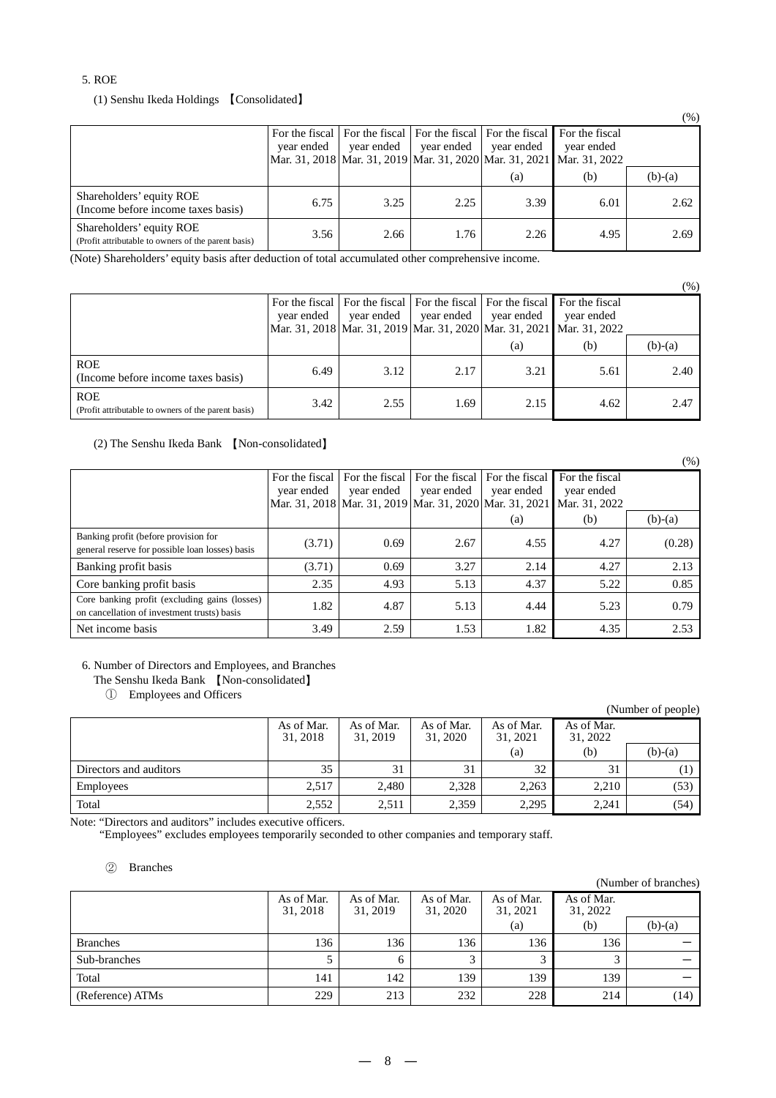#### 5. ROE

(1) Senshu Ikeda Holdings 【Consolidated】

|                                                                                 |                              |                              |                                             |            |                                                                                                       | (70 )     |
|---------------------------------------------------------------------------------|------------------------------|------------------------------|---------------------------------------------|------------|-------------------------------------------------------------------------------------------------------|-----------|
|                                                                                 | For the fiscal<br>year ended | For the fiscal<br>year ended | For the fiscal For the fiscal<br>year ended | year ended | For the fiscal<br>year ended<br>Mar. 31, 2018 Mar. 31, 2019 Mar. 31, 2020 Mar. 31, 2021 Mar. 31, 2022 |           |
|                                                                                 |                              |                              |                                             | (a)        | (b)                                                                                                   | $(b)-(a)$ |
| Shareholders' equity ROE<br>(Income before income taxes basis)                  | 6.75                         | 3.25                         | 2.25                                        | 3.39       | 6.01                                                                                                  | 2.62      |
| Shareholders' equity ROE<br>(Profit attributable to owners of the parent basis) | 3.56                         | 2.66                         | 1.76                                        | 2.26       | 4.95                                                                                                  | 2.69      |

(Note) Shareholders' equity basis after deduction of total accumulated other comprehensive income.

(%) For the fiscal year ended Mar. 31, 2018 For the fiscal year ended Mar. 31, 2019 For the fiscal year ended Mar. 31, 2020 For the fiscal year ended Mar. 31, 2021 For the fiscal year ended Mar. 31, 2022 (a) (b) (b)-(a) ROE (Income before income taxes basis) 6.49 3.12 2.17 3.21 5.61 5.61 2.40 ROE (Profit attributable to owners of the parent basis)  $3.42$   $2.55$   $1.69$   $2.15$   $4.62$   $4.62$   $2.47$ 

(2) The Senshu Ikeda Bank 【Non-consolidated】

|                                                                                              |                              |                                                                                               |                              |                              |                                               | $(\%)$    |
|----------------------------------------------------------------------------------------------|------------------------------|-----------------------------------------------------------------------------------------------|------------------------------|------------------------------|-----------------------------------------------|-----------|
|                                                                                              | For the fiscal<br>vear ended | For the fiscal<br>year ended<br>Mar. 31, 2018   Mar. 31, 2019   Mar. 31, 2020   Mar. 31, 2021 | For the fiscal<br>vear ended | For the fiscal<br>year ended | For the fiscal<br>year ended<br>Mar. 31, 2022 |           |
|                                                                                              |                              |                                                                                               |                              | (a)                          | (b)                                           | $(b)-(a)$ |
| Banking profit (before provision for<br>general reserve for possible loan losses) basis      | (3.71)                       | 0.69                                                                                          | 2.67                         | 4.55                         | 4.27                                          | (0.28)    |
| Banking profit basis                                                                         | (3.71)                       | 0.69                                                                                          | 3.27                         | 2.14                         | 4.27                                          | 2.13      |
| Core banking profit basis                                                                    | 2.35                         | 4.93                                                                                          | 5.13                         | 4.37                         | 5.22                                          | 0.85      |
| Core banking profit (excluding gains (losses)<br>on cancellation of investment trusts) basis | 1.82                         | 4.87                                                                                          | 5.13                         | 4.44                         | 5.23                                          | 0.79      |
| Net income basis                                                                             | 3.49                         | 2.59                                                                                          | 1.53                         | 1.82                         | 4.35                                          | 2.53      |

#### 6. Number of Directors and Employees, and Branches

The Senshu Ikeda Bank 【Non-consolidated】

① Employees and Officers

|                        |                        |                        |                        |                        |                        | (Number of people) |
|------------------------|------------------------|------------------------|------------------------|------------------------|------------------------|--------------------|
|                        | As of Mar.<br>31, 2018 | As of Mar.<br>31, 2019 | As of Mar.<br>31, 2020 | As of Mar.<br>31, 2021 | As of Mar.<br>31, 2022 |                    |
|                        |                        |                        |                        | (a)                    | (b)                    | $(b)-(a)$          |
| Directors and auditors | 35                     | 31                     | 31                     | 32                     | 31                     |                    |
| Employees              | 2,517                  | 2,480                  | 2,328                  | 2,263                  | 2,210                  | (53)               |
| Total                  | 2,552                  | 2,511                  | 2,359                  | 2,295                  | 2.241                  | (54)               |

Note: "Directors and auditors" includes executive officers.

"Employees" excludes employees temporarily seconded to other companies and temporary staff.

#### ② Branches

|                  |                        |                        |                        |                        |                        | (Number of branches) |
|------------------|------------------------|------------------------|------------------------|------------------------|------------------------|----------------------|
|                  | As of Mar.<br>31, 2018 | As of Mar.<br>31, 2019 | As of Mar.<br>31, 2020 | As of Mar.<br>31, 2021 | As of Mar.<br>31, 2022 |                      |
|                  |                        |                        |                        | (a)                    | (b)                    | $(b)-(a)$            |
| <b>Branches</b>  | 136                    | 136                    | 136                    | 136                    | 136                    |                      |
| Sub-branches     |                        | h                      |                        | 3                      |                        |                      |
| Total            | 141                    | 142                    | 139                    | 139                    | 139                    |                      |
| (Reference) ATMs | 229                    | 213                    | 232                    | 228                    | 214                    | (14)                 |

 $(0/3)$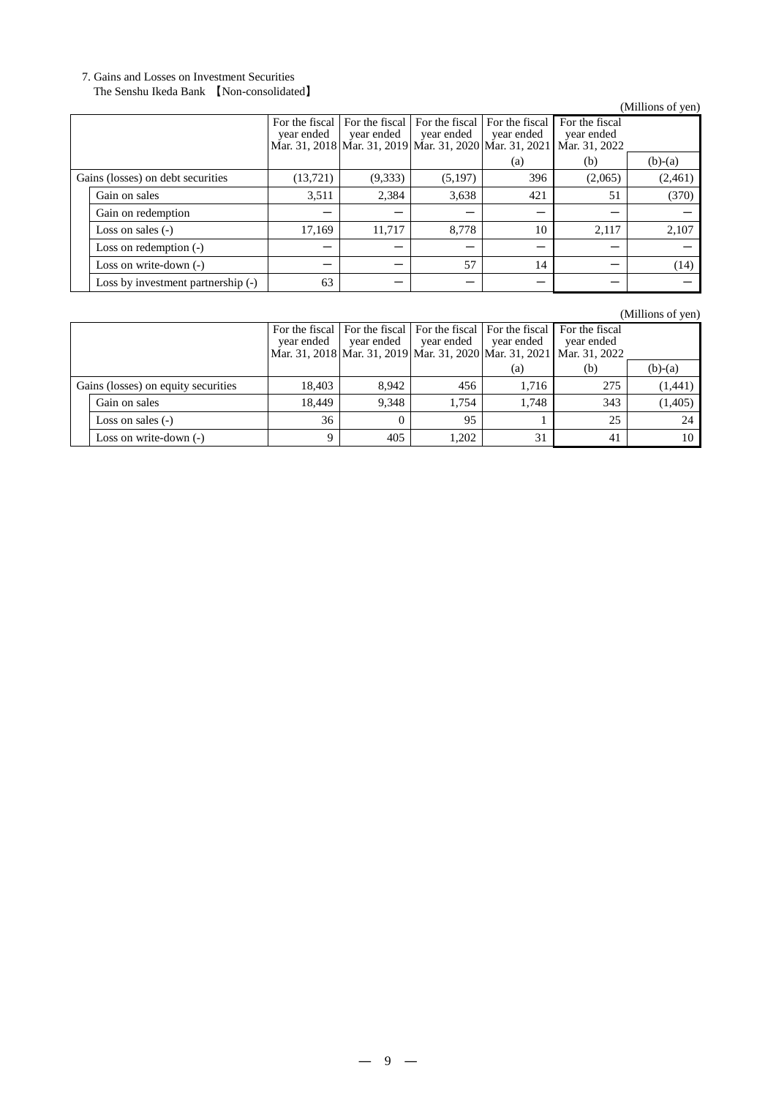# 7. Gains and Losses on Investment Securities

# The Senshu Ikeda Bank 【Non-consolidated】

# (Millions of yen)

|                                   |                                    | year ended | For the fiscal For the fiscal<br>year ended<br>Mar. 31, 2018 Mar. 31, 2019 Mar. 31, 2020 Mar. 31, 2021 | For the fiscal<br>year ended | For the fiscal<br>year ended | For the fiscal<br>year ended<br>Mar. 31, 2022 |           |
|-----------------------------------|------------------------------------|------------|--------------------------------------------------------------------------------------------------------|------------------------------|------------------------------|-----------------------------------------------|-----------|
|                                   |                                    |            |                                                                                                        |                              | (a)                          | (b)                                           | $(b)-(a)$ |
| Gains (losses) on debt securities |                                    | (13, 721)  | (9,333)                                                                                                | (5,197)                      | 396                          | (2,065)                                       | (2,461)   |
|                                   | Gain on sales                      | 3,511      | 2,384                                                                                                  | 3,638                        | 421                          | 51                                            | (370)     |
|                                   | Gain on redemption                 |            |                                                                                                        |                              |                              |                                               |           |
|                                   | Loss on sales $(-)$                | 17,169     | 11,717                                                                                                 | 8,778                        | 10                           | 2,117                                         | 2,107     |
|                                   | Loss on redemption $(-)$           |            |                                                                                                        |                              |                              |                                               |           |
|                                   | Loss on write-down $(-)$           |            |                                                                                                        | 57                           | 14                           |                                               | (14)      |
|                                   | Loss by investment partnership (-) | 63         |                                                                                                        |                              |                              |                                               |           |

# (Millions of yen)

|                                     | vear ended | year ended | year ended | For the fiscal   For the fiscal   For the fiscal   For the fiscal   For the fiscal<br>year ended | vear ended<br>Mar. 31, 2018 Mar. 31, 2019 Mar. 31, 2020 Mar. 31, 2021 Mar. 31, 2022 |           |
|-------------------------------------|------------|------------|------------|--------------------------------------------------------------------------------------------------|-------------------------------------------------------------------------------------|-----------|
|                                     |            |            |            | (a)                                                                                              | (b)                                                                                 | $(b)-(a)$ |
| Gains (losses) on equity securities | 18.403     | 8.942      | 456        | 1.716                                                                                            | 275                                                                                 | (1,441)   |
| Gain on sales                       | 18.449     | 9.348      | 1.754      | 1.748                                                                                            | 343                                                                                 | (1,405)   |
| Loss on sales $(-)$                 | 36         |            | 95         |                                                                                                  | 25                                                                                  | 24        |
| Loss on write-down $(-)$            |            | 405        | 1.202      | 31                                                                                               | 41                                                                                  | 10        |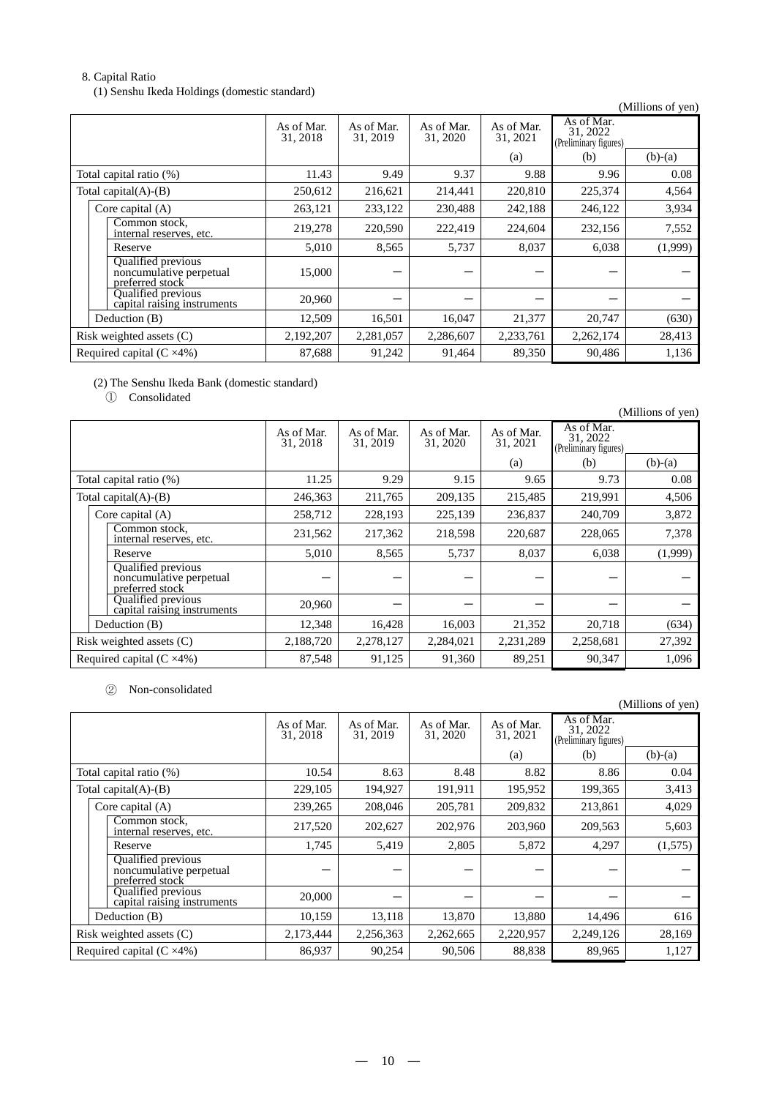# 8. Capital Ratio

(1) Senshu Ikeda Holdings (domestic standard)

(Millions of yen)

|                                   |                                                                  | As of Mar.<br>31, 2018 | As of Mar.<br>31, 2019 | As of Mar.<br>31, 2020 | As of Mar.<br>31, 2021 | As of Mar.<br>31, 2022<br>(Preliminary figures) |           |
|-----------------------------------|------------------------------------------------------------------|------------------------|------------------------|------------------------|------------------------|-------------------------------------------------|-----------|
|                                   |                                                                  |                        |                        |                        | (a)                    | (b)                                             | $(b)-(a)$ |
|                                   | Total capital ratio (%)                                          | 11.43                  | 9.49                   | 9.37                   | 9.88                   | 9.96                                            | 0.08      |
|                                   | Total capital $(A)$ - $(B)$                                      | 250,612                | 216,621                | 214,441                | 220,810                | 225,374                                         | 4,564     |
|                                   | Core capital $(A)$                                               | 263,121                | 233,122                | 230,488                | 242,188                | 246,122                                         | 3,934     |
|                                   | Common stock,<br>internal reserves, etc.                         | 219,278                | 220,590                | 222,419                | 224,604                | 232,156                                         | 7,552     |
|                                   | Reserve                                                          | 5,010                  | 8,565                  | 5,737                  | 8,037                  | 6,038                                           | (1,999)   |
|                                   | Qualified previous<br>noncumulative perpetual<br>preferred stock | 15,000                 |                        |                        |                        |                                                 |           |
|                                   | Qualified previous<br>capital raising instruments                | 20,960                 |                        |                        |                        |                                                 |           |
|                                   | Deduction (B)                                                    | 12,509                 | 16,501                 | 16,047                 | 21,377                 | 20,747                                          | (630)     |
| Risk weighted assets $(C)$        |                                                                  | 2,192,207              | 2,281,057              | 2,286,607              | 2,233,761              | 2,262,174                                       | 28,413    |
| Required capital $(C \times 4\%)$ |                                                                  | 87,688                 | 91,242                 | 91,464                 | 89,350                 | 90,486                                          | 1,136     |

(2) The Senshu Ikeda Bank (domestic standard)

① Consolidated

|                                   |                                                                         |                        |                        |                        |                        |                                                 | (Millions of yen) |
|-----------------------------------|-------------------------------------------------------------------------|------------------------|------------------------|------------------------|------------------------|-------------------------------------------------|-------------------|
|                                   |                                                                         | As of Mar.<br>31, 2018 | As of Mar.<br>31, 2019 | As of Mar.<br>31, 2020 | As of Mar.<br>31, 2021 | As of Mar.<br>31, 2022<br>(Preliminary figures) |                   |
|                                   |                                                                         |                        |                        |                        | (a)                    | (b)                                             | $(b)-(a)$         |
|                                   | Total capital ratio (%)                                                 | 11.25                  | 9.29                   | 9.15                   | 9.65                   | 9.73                                            | 0.08              |
|                                   | Total capital $(A)$ - $(B)$                                             | 246,363                | 211,765                | 209,135                | 215,485                | 219,991                                         | 4,506             |
|                                   | Core capital $(A)$                                                      | 258,712                | 228,193                | 225,139                | 236,837                | 240,709                                         | 3,872             |
|                                   | Common stock.<br>internal reserves, etc.                                | 231,562                | 217,362                | 218,598                | 220,687                | 228,065                                         | 7,378             |
|                                   | Reserve                                                                 | 5,010                  | 8,565                  | 5,737                  | 8,037                  | 6,038                                           | (1,999)           |
|                                   | <b>Qualified</b> previous<br>noncumulative perpetual<br>preferred stock |                        |                        |                        |                        |                                                 |                   |
|                                   | Qualified previous<br>capital raising instruments                       | 20,960                 |                        |                        |                        |                                                 |                   |
|                                   | Deduction (B)                                                           | 12,348                 | 16,428                 | 16,003                 | 21,352                 | 20,718                                          | (634)             |
| Risk weighted assets (C)          |                                                                         | 2,188,720              | 2,278,127              | 2,284,021              | 2,231,289              | 2,258,681                                       | 27,392            |
| Required capital $(C \times 4\%)$ |                                                                         | 87,548                 | 91,125                 | 91,360                 | 89,251                 | 90,347                                          | 1,096             |

② Non-consolidated

|                                   |                                                                  |                        |                        |                        |                        |                                                 | (Millions of yen) |
|-----------------------------------|------------------------------------------------------------------|------------------------|------------------------|------------------------|------------------------|-------------------------------------------------|-------------------|
|                                   |                                                                  | As of Mar.<br>31, 2018 | As of Mar.<br>31, 2019 | As of Mar.<br>31, 2020 | As of Mar.<br>31, 2021 | As of Mar.<br>31, 2022<br>(Preliminary figures) |                   |
|                                   |                                                                  |                        |                        |                        | (a)                    | (b)                                             | $(b)-(a)$         |
|                                   | Total capital ratio (%)                                          | 10.54                  | 8.63                   | 8.48                   | 8.82                   | 8.86                                            | 0.04              |
|                                   | Total capital $(A)$ - $(B)$                                      | 229,105                | 194,927                | 191,911                | 195,952                | 199,365                                         | 3,413             |
|                                   | Core capital $(A)$                                               | 239,265                | 208,046                | 205,781                | 209,832                | 213,861                                         | 4,029             |
|                                   | Common stock,<br>internal reserves, etc.                         | 217,520                | 202,627                | 202,976                | 203,960                | 209,563                                         | 5,603             |
|                                   | Reserve                                                          | 1,745                  | 5,419                  | 2,805                  | 5,872                  | 4,297                                           | (1,575)           |
|                                   | Qualified previous<br>noncumulative perpetual<br>preferred stock |                        |                        |                        |                        |                                                 |                   |
|                                   | Qualified previous<br>capital raising instruments                | 20,000                 |                        |                        |                        |                                                 |                   |
|                                   | Deduction (B)                                                    | 10,159                 | 13,118                 | 13,870                 | 13,880                 | 14,496                                          | 616               |
|                                   | Risk weighted assets $(C)$                                       | 2,173,444              | 2,256,363              | 2,262,665              | 2,220,957              | 2,249,126                                       | 28,169            |
| Required capital $(C \times 4\%)$ |                                                                  | 86,937                 | 90,254                 | 90,506                 | 88,838                 | 89,965                                          | 1,127             |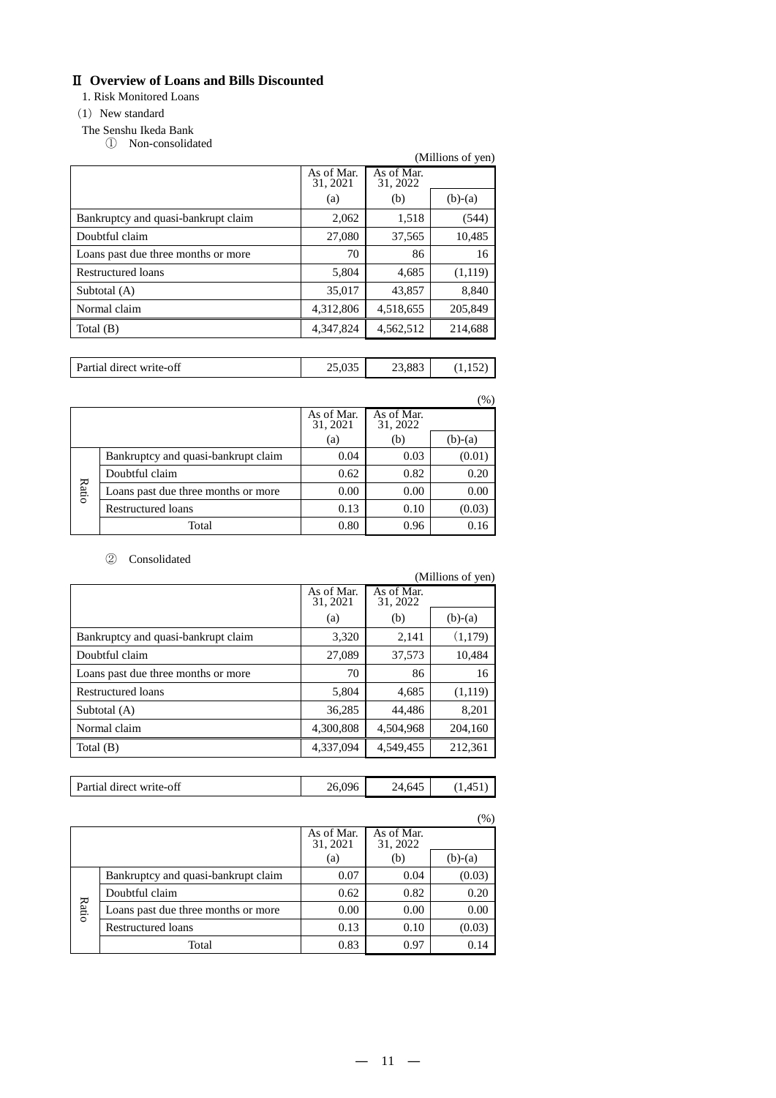# Ⅱ **Overview of Loans and Bills Discounted**

1. Risk Monitored Loans

#### $(1)$  New standard

- The Senshu Ikeda Bank
	- ① Non-consolidated

|                                     |                        |                        | (Millions of yen) |
|-------------------------------------|------------------------|------------------------|-------------------|
|                                     | As of Mar.<br>31, 2021 | As of Mar.<br>31, 2022 |                   |
|                                     | (a)                    | (b)                    | $(b)-(a)$         |
| Bankruptcy and quasi-bankrupt claim | 2,062                  | 1,518                  | (544)             |
| Doubtful claim                      | 27,080                 | 37,565                 | 10,485            |
| Loans past due three months or more | 70                     | 86                     | 16                |
| Restructured loans                  | 5,804                  | 4,685                  | (1,119)           |
| Subtotal (A)                        | 35,017                 | 43,857                 | 8,840             |
| Normal claim                        | 4,312,806              | 4,518,655              | 205,849           |
| Total $(B)$                         | 4,347,824              | 4,562,512              | 214,688           |
|                                     |                        |                        |                   |

| Partial direct write-off |  |  |
|--------------------------|--|--|
|                          |  |  |

|       |                                     |                        |                        | (%)       |
|-------|-------------------------------------|------------------------|------------------------|-----------|
|       |                                     | As of Mar.<br>31, 2021 | As of Mar.<br>31, 2022 |           |
|       |                                     | (a)                    | (b)                    | $(b)-(a)$ |
| Ratio | Bankruptcy and quasi-bankrupt claim | 0.04                   | 0.03                   | (0.01)    |
|       | Doubtful claim                      | 0.62                   | 0.82                   | 0.20      |
|       | Loans past due three months or more | 0.00                   | 0.00                   | 0.00      |
|       | <b>Restructured loans</b>           | 0.13                   | 0.10                   | (0.03)    |
|       | Total                               | 0.80                   | 0.96                   | 0.16      |

# ② Consolidated

|                                     |                        |                        | (Millions of yen) |
|-------------------------------------|------------------------|------------------------|-------------------|
|                                     | As of Mar.<br>31, 2021 | As of Mar.<br>31, 2022 |                   |
|                                     | (a)                    | (b)                    | $(b)-(a)$         |
| Bankruptcy and quasi-bankrupt claim | 3,320                  | 2,141                  | (1,179)           |
| Doubtful claim                      | 27,089                 | 37,573                 | 10,484            |
| Loans past due three months or more | 70                     | 86                     | 16                |
| Restructured loans                  | 5,804                  | 4,685                  | (1,119)           |
| Subtotal (A)                        | 36,285                 | 44.486                 | 8,201             |
| Normal claim                        | 4.300.808              | 4.504.968              | 204,160           |
| Total $(B)$                         | 4.337.094              | 4.549.455              | 212,361           |
|                                     |                        |                        |                   |
| Partial direct write-off            | 26,096                 | 24,645                 | (1,451)           |

|       |                                     |                        |                        | $(\% )$   |
|-------|-------------------------------------|------------------------|------------------------|-----------|
|       |                                     | As of Mar.<br>31, 2021 | As of Mar.<br>31, 2022 |           |
|       |                                     | (a)                    | (b)                    | $(b)-(a)$ |
|       | Bankruptcy and quasi-bankrupt claim | 0.07                   | 0.04                   | (0.03)    |
|       | Doubtful claim                      | 0.62                   | 0.82                   | 0.20      |
| Ratio | Loans past due three months or more | 0.00                   | 0.00                   | 0.00      |
|       | <b>Restructured loans</b>           | 0.13                   | 0.10                   | (0.03)    |
|       | Total                               | 0.83                   | 0.97                   |           |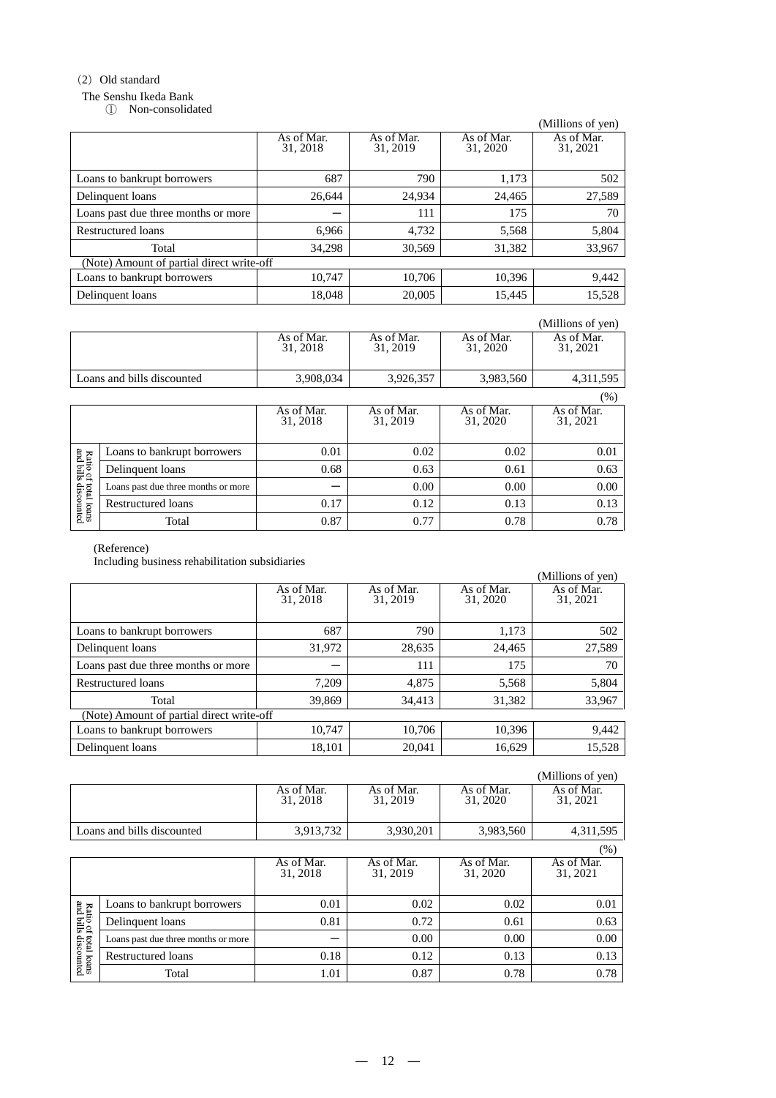# (2) Old standard

#### The Senshu Ikeda Bank

① Non-consolidated

|                                           |                        |                        |                        | (Millions of yen)      |
|-------------------------------------------|------------------------|------------------------|------------------------|------------------------|
|                                           | As of Mar.<br>31, 2018 | As of Mar.<br>31, 2019 | As of Mar.<br>31, 2020 | As of Mar.<br>31, 2021 |
| Loans to bankrupt borrowers               | 687                    | 790                    | 1,173                  | 502                    |
| Delinquent loans                          | 26.644                 | 24.934                 | 24,465                 | 27,589                 |
| Loans past due three months or more       |                        | 111                    | 175                    | 70                     |
| Restructured loans                        | 6.966                  | 4,732                  | 5,568                  | 5,804                  |
| Total                                     | 34,298                 | 30,569                 | 31,382                 | 33,967                 |
| (Note) Amount of partial direct write-off |                        |                        |                        |                        |
| Loans to bankrupt borrowers               | 10,747                 | 10,706                 | 10,396                 | 9,442                  |
| Delinquent loans                          | 18,048                 | 20,005                 | 15,445                 | 15,528                 |

|                           |                                     |                        |                        |                        | (Millions of yen)      |
|---------------------------|-------------------------------------|------------------------|------------------------|------------------------|------------------------|
|                           |                                     | As of Mar.<br>31, 2018 | As of Mar.<br>31, 2019 | As of Mar.<br>31, 2020 | As of Mar.<br>31, 2021 |
|                           | Loans and bills discounted          | 3,908,034              | 3,926,357              | 3,983,560              | 4,311,595              |
|                           |                                     |                        |                        |                        | (%)                    |
|                           |                                     | As of Mar.<br>31, 2018 | As of Mar.<br>31, 2019 | As of Mar.<br>31, 2020 | As of Mar.<br>31, 2021 |
|                           | Loans to bankrupt borrowers         | 0.01                   | 0.02                   | 0.02                   | 0.01                   |
| Ratio of<br>and bills     | Delinquent loans                    | 0.68                   | 0.63                   | 0.61                   | 0.63                   |
|                           | Loans past due three months or more |                        | 0.00                   | 0.00                   | 0.00                   |
| rotal loans<br>discounted | Restructured loans                  | 0.17                   | 0.12                   | 0.13                   | 0.13                   |
|                           | Total                               | 0.87                   | 0.77                   | 0.78                   | 0.78                   |

#### (Reference)

Including business rehabilitation subsidiaries

| incruding business renabilitation subsidiaries |                                           |                        |                        | (Millions of yen)      |  |  |  |  |
|------------------------------------------------|-------------------------------------------|------------------------|------------------------|------------------------|--|--|--|--|
|                                                | As of Mar.<br>31, 2018                    | As of Mar.<br>31, 2019 | As of Mar.<br>31, 2020 | As of Mar.<br>31, 2021 |  |  |  |  |
| Loans to bankrupt borrowers                    | 687                                       | 790                    | 1,173                  | 502                    |  |  |  |  |
| Delinquent loans                               | 31,972                                    | 28,635                 | 24,465                 | 27,589                 |  |  |  |  |
| Loans past due three months or more            |                                           | 111                    | 175                    | 70                     |  |  |  |  |
| Restructured loans                             | 7,209                                     | 4,875                  | 5,568                  | 5,804                  |  |  |  |  |
| Total                                          | 39,869                                    | 34,413                 | 31,382                 | 33,967                 |  |  |  |  |
|                                                | (Note) Amount of partial direct write-off |                        |                        |                        |  |  |  |  |
| Loans to bankrupt borrowers                    | 10,747                                    | 10,706                 | 10,396                 | 9,442                  |  |  |  |  |
| Delinquent loans                               | 18,101                                    | 20,041                 | 16,629                 | 15,528                 |  |  |  |  |

|                            |                        |                        |                        | (Millions of yen)      |
|----------------------------|------------------------|------------------------|------------------------|------------------------|
|                            | As of Mar.<br>31, 2018 | As of Mar.<br>31, 2019 | As of Mar.<br>31, 2020 | As of Mar.<br>31, 2021 |
| Loans and bills discounted | 3,913,732              | 3,930,201              | 3,983,560              | 4,311,595              |

|                                                         |                                     |                        |                        |                        | (%)                    |
|---------------------------------------------------------|-------------------------------------|------------------------|------------------------|------------------------|------------------------|
|                                                         |                                     | As of Mar.<br>31, 2018 | As of Mar.<br>31, 2019 | As of Mar.<br>31, 2020 | As of Mar.<br>31, 2021 |
| g<br>Ratio of<br>and bills<br>rotal loans<br>discounted | Loans to bankrupt borrowers         | 0.01                   | 0.02                   | 0.02                   | 0.01                   |
|                                                         | Delinquent loans                    | 0.81                   | 0.72                   | 0.61                   | 0.63                   |
|                                                         | Loans past due three months or more |                        | 0.00                   | 0.00                   | 0.00                   |
|                                                         | Restructured loans                  | 0.18                   | 0.12                   | 0.13                   | 0.13                   |
|                                                         | Total                               | 1.01                   | 0.87                   | 0.78                   | 0.78                   |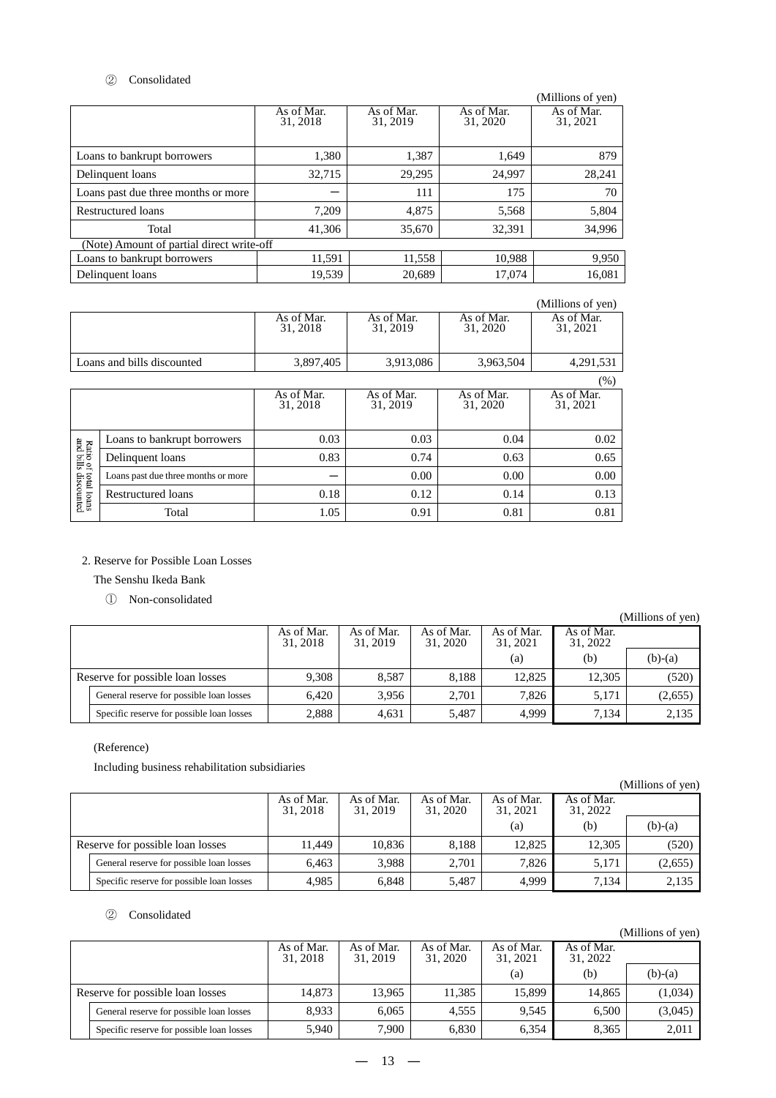# ② Consolidated

|                                           |                        |                        |                        | (Millions of yen)      |
|-------------------------------------------|------------------------|------------------------|------------------------|------------------------|
|                                           | As of Mar.<br>31, 2018 | As of Mar.<br>31, 2019 | As of Mar.<br>31, 2020 | As of Mar.<br>31, 2021 |
| Loans to bankrupt borrowers               | 1,380                  | 1,387                  | 1,649                  | 879                    |
| Delinquent loans                          | 32,715                 | 29,295                 | 24,997                 | 28,241                 |
| Loans past due three months or more       |                        | 111                    | 175                    | 70                     |
| Restructured loans                        | 7,209                  | 4.875                  | 5,568                  | 5,804                  |
| Total                                     | 41,306                 | 35,670                 | 32,391                 | 34,996                 |
| (Note) Amount of partial direct write-off |                        |                        |                        |                        |
| Loans to bankrupt borrowers               | 11,591                 | 11,558                 | 10,988                 | 9,950                  |
| Delinquent loans                          | 19,539                 | 20,689                 | 17,074                 | 16,081                 |

|                            |                        |                        |                        | (Millions of yen)      |
|----------------------------|------------------------|------------------------|------------------------|------------------------|
|                            | As of Mar.<br>31, 2018 | As of Mar.<br>31, 2019 | As of Mar.<br>31, 2020 | As of Mar.<br>31, 2021 |
| Loans and bills discounted | 3,897,405              | 3,913,086              | 3,963,504              | 4,291,531              |
|                            |                        |                        |                        | (0/2)                  |

|                                                    |                                     |                        |                        |                        | $(\%)$                 |
|----------------------------------------------------|-------------------------------------|------------------------|------------------------|------------------------|------------------------|
|                                                    |                                     | As of Mar.<br>31, 2018 | As of Mar.<br>31, 2019 | As of Mar.<br>31, 2020 | As of Mar.<br>31, 2021 |
| Ratio of<br>and bills<br>total loans<br>discounted | Loans to bankrupt borrowers         | 0.03                   | 0.03                   | 0.04                   | 0.02                   |
|                                                    | Delinquent loans                    | 0.83                   | 0.74                   | 0.63                   | 0.65                   |
|                                                    | Loans past due three months or more |                        | 0.00                   | 0.00                   | 0.00                   |
|                                                    | Restructured loans                  | 0.18                   | 0.12                   | 0.14                   | 0.13                   |
|                                                    | Total                               | 1.05                   | 0.91                   | 0.81                   | 0.81                   |

#### 2. Reserve for Possible Loan Losses

# The Senshu Ikeda Bank

① Non-consolidated

|                                           |                        |                        |                        |                        |                        | (Millions of yen) |
|-------------------------------------------|------------------------|------------------------|------------------------|------------------------|------------------------|-------------------|
|                                           | As of Mar.<br>31, 2018 | As of Mar.<br>31, 2019 | As of Mar.<br>31, 2020 | As of Mar.<br>31, 2021 | As of Mar.<br>31, 2022 |                   |
|                                           |                        |                        |                        | (a)                    | (b)                    | $(b)-(a)$         |
| Reserve for possible loan losses          | 9.308                  | 8.587                  | 8.188                  | 12.825                 | 12.305                 | (520)             |
| General reserve for possible loan losses  | 6.420                  | 3.956                  | 2.701                  | 7.826                  | 5,171                  | (2,655)           |
| Specific reserve for possible loan losses | 2.888                  | 4,631                  | 5,487                  | 4,999                  | 7.134                  | 2,135             |

#### (Reference)

Including business rehabilitation subsidiaries

|                                           |                        |                        |                        |                        |                        | (Millions of yen) |
|-------------------------------------------|------------------------|------------------------|------------------------|------------------------|------------------------|-------------------|
|                                           | As of Mar.<br>31, 2018 | As of Mar.<br>31, 2019 | As of Mar.<br>31, 2020 | As of Mar.<br>31, 2021 | As of Mar.<br>31, 2022 |                   |
|                                           |                        |                        |                        | (a)                    | (b)                    | $(b)-(a)$         |
| Reserve for possible loan losses          | 11.449                 | 10.836                 | 8.188                  | 12,825                 | 12.305                 | (520)             |
| General reserve for possible loan losses  | 6.463                  | 3.988                  | 2.701                  | 7.826                  | 5.171                  | (2,655)           |
| Specific reserve for possible loan losses | 4.985                  | 6,848                  | 5,487                  | 4,999                  | 7.134                  | 2,135             |

#### ② Consolidated

|                                           |                        |                        |                        |                        |                        | (Millions of yen) |
|-------------------------------------------|------------------------|------------------------|------------------------|------------------------|------------------------|-------------------|
|                                           | As of Mar.<br>31, 2018 | As of Mar.<br>31, 2019 | As of Mar.<br>31, 2020 | As of Mar.<br>31, 2021 | As of Mar.<br>31, 2022 |                   |
|                                           |                        |                        |                        | (a)                    | (b)                    | $(b)-(a)$         |
| Reserve for possible loan losses          | 14.873                 | 13,965                 | 11,385                 | 15,899                 | 14,865                 | (1,034)           |
| General reserve for possible loan losses  | 8.933                  | 6,065                  | 4.555                  | 9.545                  | 6,500                  | (3,045)           |
| Specific reserve for possible loan losses | 5.940                  | 7,900                  | 6,830                  | 6,354                  | 8,365                  | 2.011             |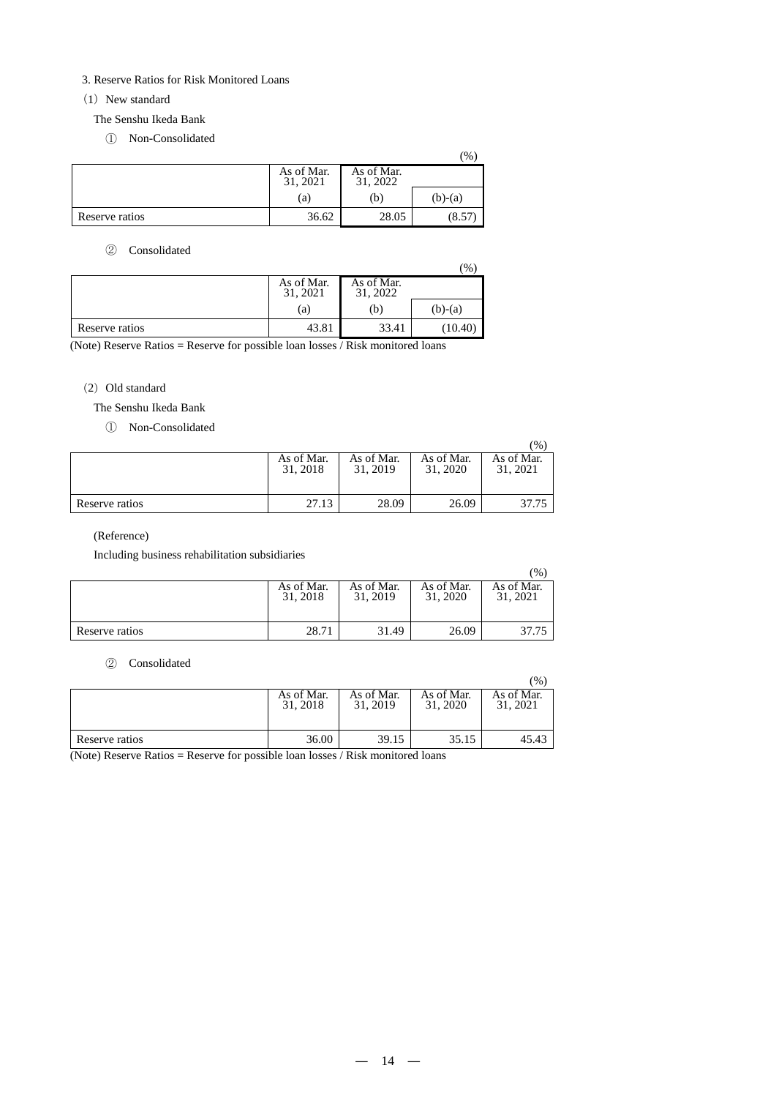#### 3. Reserve Ratios for Risk Monitored Loans

#### $(1)$  New standard

The Senshu Ikeda Bank

① Non-Consolidated

|                |                        |                        | $\%$      |
|----------------|------------------------|------------------------|-----------|
|                | As of Mar.<br>31, 2021 | As of Mar.<br>31, 2022 |           |
|                | (a)                    | b)                     | $(b)-(a)$ |
| Reserve ratios | 36.62                  | 28.05                  | (8.57)    |

# ② Consolidated

|                |                        |                        | $\frac{9}{6}$ |
|----------------|------------------------|------------------------|---------------|
|                | As of Mar.<br>31, 2021 | As of Mar.<br>31, 2022 |               |
|                | (a)                    | (b)                    | $(b)-(a)$     |
| Reserve ratios | 43.81                  | 33.41                  | (10.40)       |

(Note) Reserve Ratios = Reserve for possible loan losses / Risk monitored loans

#### (2) Old standard

The Senshu Ikeda Bank

① Non-Consolidated

|                |                        |                        |                        | $\frac{9}{6}$          |
|----------------|------------------------|------------------------|------------------------|------------------------|
|                | As of Mar.<br>31, 2018 | As of Mar.<br>31, 2019 | As of Mar.<br>31, 2020 | As of Mar.<br>31, 2021 |
| Reserve ratios | 27.13                  | 28.09                  | 26.09                  | 37.75                  |

#### (Reference)

Including business rehabilitation subsidiaries

|                |                        |                        |                        | $(%^{6}$               |
|----------------|------------------------|------------------------|------------------------|------------------------|
|                | As of Mar.<br>31, 2018 | As of Mar.<br>31, 2019 | As of Mar.<br>31, 2020 | As of Mar.<br>31, 2021 |
| Reserve ratios | 28.71                  | 31.49                  | 26.09                  | 37.75                  |

#### ② Consolidated

|                |                        |                        |                        | $\frac{1}{2}$          |
|----------------|------------------------|------------------------|------------------------|------------------------|
|                | As of Mar.<br>31, 2018 | As of Mar.<br>31, 2019 | As of Mar.<br>31, 2020 | As of Mar.<br>31, 2021 |
| Reserve ratios | 36.00                  | 39.15                  | 35.15                  | 45.43                  |

(Note) Reserve Ratios = Reserve for possible loan losses / Risk monitored loans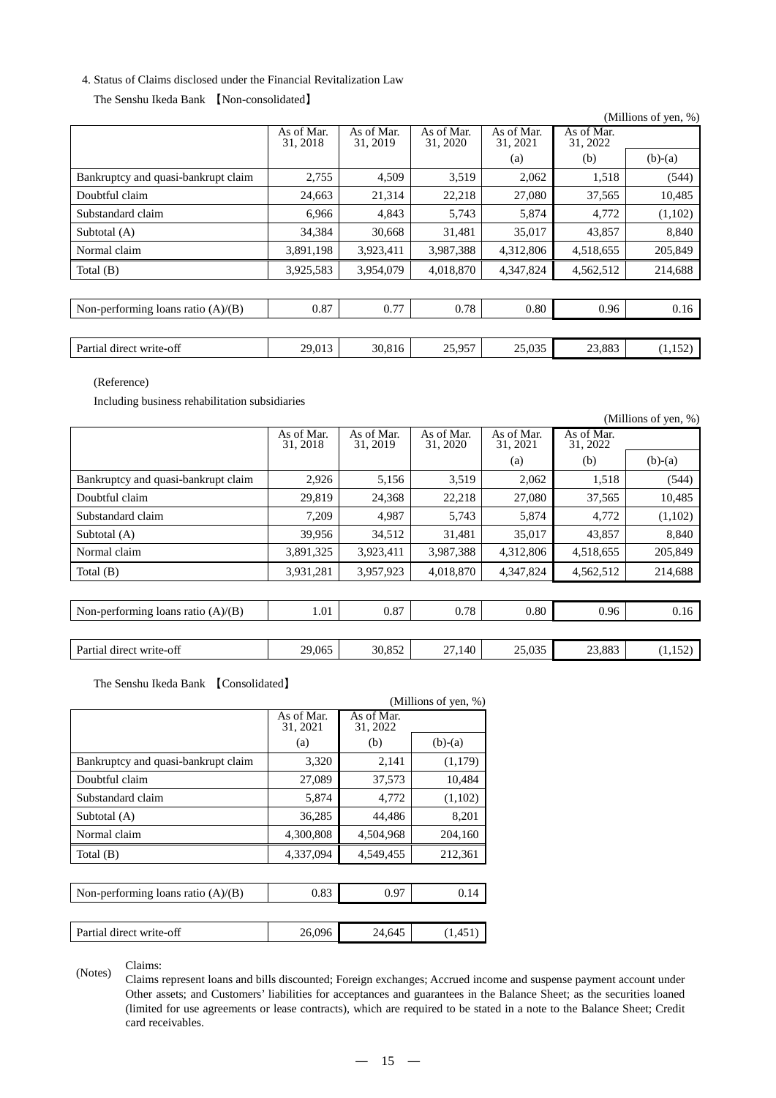## 4. Status of Claims disclosed under the Financial Revitalization Law

# The Senshu Ikeda Bank 【Non-consolidated】

|                                      |                        |                        |                        |                        |                        | (Millions of yen, %) |
|--------------------------------------|------------------------|------------------------|------------------------|------------------------|------------------------|----------------------|
|                                      | As of Mar.<br>31, 2018 | As of Mar.<br>31, 2019 | As of Mar.<br>31, 2020 | As of Mar.<br>31, 2021 | As of Mar.<br>31, 2022 |                      |
|                                      |                        |                        |                        | (a)                    | (b)                    | $(b)-(a)$            |
| Bankruptcy and quasi-bankrupt claim  | 2,755                  | 4,509                  | 3,519                  | 2,062                  | 1,518                  | (544)                |
| Doubtful claim                       | 24,663                 | 21,314                 | 22,218                 | 27,080                 | 37,565                 | 10,485               |
| Substandard claim                    | 6,966                  | 4,843                  | 5,743                  | 5,874                  | 4,772                  | (1,102)              |
| Subtotal (A)                         | 34,384                 | 30,668                 | 31,481                 | 35,017                 | 43,857                 | 8,840                |
| Normal claim                         | 3,891,198              | 3,923,411              | 3,987,388              | 4,312,806              | 4,518,655              | 205,849              |
| Total $(B)$                          | 3,925,583              | 3,954,079              | 4,018,870              | 4,347,824              | 4,562,512              | 214,688              |
|                                      |                        |                        |                        |                        |                        |                      |
| Non-performing loans ratio $(A)/(B)$ | 0.87                   | 0.77                   | 0.78                   | 0.80                   | 0.96                   | 0.16                 |
|                                      |                        |                        |                        |                        |                        |                      |
| Partial direct write-off             | 29,013                 | 30,816                 | 25,957                 | 25,035                 | 23,883                 | (1,152)              |

(Reference)

Including business rehabilitation subsidiaries

|                                      |                        |                        |                        |                        |                        | (Millions of yen, %) |
|--------------------------------------|------------------------|------------------------|------------------------|------------------------|------------------------|----------------------|
|                                      | As of Mar.<br>31, 2018 | As of Mar.<br>31, 2019 | As of Mar.<br>31, 2020 | As of Mar.<br>31, 2021 | As of Mar.<br>31, 2022 |                      |
|                                      |                        |                        |                        | (a)                    | (b)                    | $(b)-(a)$            |
| Bankruptcy and quasi-bankrupt claim  | 2,926                  | 5,156                  | 3,519                  | 2,062                  | 1,518                  | (544)                |
| Doubtful claim                       | 29,819                 | 24,368                 | 22,218                 | 27,080                 | 37,565                 | 10,485               |
| Substandard claim                    | 7,209                  | 4,987                  | 5,743                  | 5,874                  | 4,772                  | (1,102)              |
| Subtotal (A)                         | 39,956                 | 34,512                 | 31,481                 | 35,017                 | 43,857                 | 8,840                |
| Normal claim                         | 3,891,325              | 3,923,411              | 3,987,388              | 4,312,806              | 4,518,655              | 205,849              |
| Total (B)                            | 3,931,281              | 3,957,923              | 4,018,870              | 4,347,824              | 4,562,512              | 214,688              |
|                                      |                        |                        |                        |                        |                        |                      |
| Non-performing loans ratio $(A)/(B)$ | 1.01                   | 0.87                   | 0.78                   | 0.80                   | 0.96                   | 0.16                 |
|                                      |                        |                        |                        |                        |                        |                      |
| Partial direct write-off             | 29,065                 | 30,852                 | 27,140                 | 25,035                 | 23,883                 | (1,152)              |
|                                      |                        |                        |                        |                        |                        |                      |

The Senshu Ikeda Bank 【Consolidated】

|                                      |                        |                        | (Millions of yen, %) |
|--------------------------------------|------------------------|------------------------|----------------------|
|                                      | As of Mar.<br>31, 2021 | As of Mar.<br>31, 2022 |                      |
|                                      | (a)                    | (b)                    | $(b)-(a)$            |
| Bankruptcy and quasi-bankrupt claim  | 3,320                  | 2,141                  | (1,179)              |
| Doubtful claim                       | 27,089                 | 37,573                 | 10,484               |
| Substandard claim                    | 5,874                  | 4,772                  | (1,102)              |
| Subtotal (A)                         | 36,285                 | 44,486                 | 8,201                |
| Normal claim                         | 4,300,808              | 4,504,968              | 204,160              |
| Total $(B)$                          | 4,337,094              | 4,549,455              | 212,361              |
|                                      |                        |                        |                      |
| Non-performing loans ratio $(A)/(B)$ | 0.83                   | 0.97                   | 0.14                 |
|                                      |                        |                        |                      |
| Partial direct write-off             | 26,096                 | 24,645                 | (1,451)              |

(Notes) Claims:

Claims represent loans and bills discounted; Foreign exchanges; Accrued income and suspense payment account under Other assets; and Customers' liabilities for acceptances and guarantees in the Balance Sheet; as the securities loaned (limited for use agreements or lease contracts), which are required to be stated in a note to the Balance Sheet; Credit card receivables.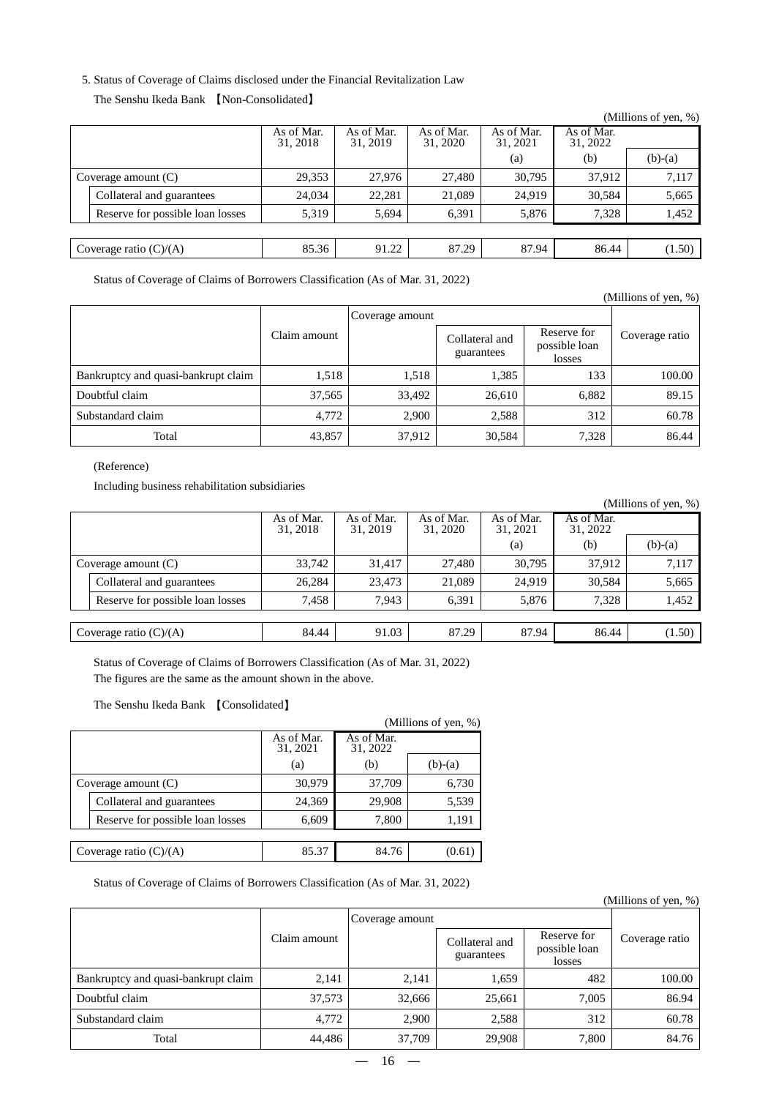#### 5. Status of Coverage of Claims disclosed under the Financial Revitalization Law

#### The Senshu Ikeda Bank 【Non-Consolidated】

|                                  |                        |                        |                        |                        |                        | (Millions of yen, $\%$ ) |
|----------------------------------|------------------------|------------------------|------------------------|------------------------|------------------------|--------------------------|
|                                  | As of Mar.<br>31, 2018 | As of Mar.<br>31, 2019 | As of Mar.<br>31, 2020 | As of Mar.<br>31, 2021 | As of Mar.<br>31, 2022 |                          |
|                                  |                        |                        |                        | (a)                    | (b)                    | $(b)-(a)$                |
| Coverage amount $(C)$            | 29,353                 | 27.976                 | 27,480                 | 30,795                 | 37.912                 | 7,117                    |
| Collateral and guarantees        | 24,034                 | 22.281                 | 21,089                 | 24,919                 | 30,584                 | 5,665                    |
| Reserve for possible loan losses | 5,319                  | 5,694                  | 6,391                  | 5,876                  | 7,328                  | 1,452                    |
|                                  |                        |                        |                        |                        |                        |                          |
| Coverage ratio $(C)/(A)$         | 85.36                  | 91.22                  | 87.29                  | 87.94                  | 86.44                  | (1.50)                   |
|                                  |                        |                        |                        |                        |                        |                          |

Status of Coverage of Claims of Borrowers Classification (As of Mar. 31, 2022)

|                                     |              |                 |                              |                                        | (Millions of yen, %) |  |  |
|-------------------------------------|--------------|-----------------|------------------------------|----------------------------------------|----------------------|--|--|
|                                     |              | Coverage amount |                              |                                        |                      |  |  |
|                                     | Claim amount |                 | Collateral and<br>guarantees | Reserve for<br>possible loan<br>losses | Coverage ratio       |  |  |
| Bankruptcy and quasi-bankrupt claim | 1,518        | 1,518           | 1,385                        | 133                                    | 100.00               |  |  |
| Doubtful claim                      | 37,565       | 33,492          | 26,610                       | 6,882                                  | 89.15                |  |  |
| Substandard claim                   | 4,772        | 2.900           | 2,588                        | 312                                    | 60.78                |  |  |
| Total                               | 43,857       | 37,912          | 30,584                       | 7,328                                  | 86.44                |  |  |

### (Reference)

Including business rehabilitation subsidiaries

|                                  |                        |                        |                        |                        |                        | (Millions of yen, $%$ ) |
|----------------------------------|------------------------|------------------------|------------------------|------------------------|------------------------|-------------------------|
|                                  | As of Mar.<br>31, 2018 | As of Mar.<br>31, 2019 | As of Mar.<br>31, 2020 | As of Mar.<br>31, 2021 | As of Mar.<br>31, 2022 |                         |
|                                  |                        |                        |                        | (a)                    | (b)                    | $(b)-(a)$               |
| Coverage amount $(C)$            | 33,742                 | 31,417                 | 27,480                 | 30,795                 | 37,912                 | 7,117                   |
| Collateral and guarantees        | 26.284                 | 23.473                 | 21,089                 | 24.919                 | 30.584                 | 5,665                   |
| Reserve for possible loan losses | 7,458                  | 7.943                  | 6,391                  | 5,876                  | 7,328                  | 1,452                   |
|                                  |                        |                        |                        |                        |                        |                         |
| Coverage ratio $(C)/(A)$         | 84.44                  | 91.03                  | 87.29                  | 87.94                  | 86.44                  | (1.50)                  |

Status of Coverage of Claims of Borrowers Classification (As of Mar. 31, 2022) The figures are the same as the amount shown in the above.

The Senshu Ikeda Bank 【Consolidated】

|  |                                  |                        |                        | (Millions of yen, %) |
|--|----------------------------------|------------------------|------------------------|----------------------|
|  |                                  | As of Mar.<br>31, 2021 | As of Mar.<br>31, 2022 |                      |
|  |                                  | (a)                    | (b)                    | $(b)-(a)$            |
|  | Coverage amount $(C)$            | 30,979                 | 37,709                 | 6,730                |
|  | Collateral and guarantees        | 24,369                 | 29,908                 | 5,539                |
|  | Reserve for possible loan losses | 6,609                  | 7,800                  | 1,191                |
|  |                                  |                        |                        |                      |
|  | Coverage ratio $(C)/(A)$         | 85.37                  | 84.76                  | (0.61)               |

Status of Coverage of Claims of Borrowers Classification (As of Mar. 31, 2022)

|                                     |              |                 |                              |                                        | (Millions of yen, %) |  |
|-------------------------------------|--------------|-----------------|------------------------------|----------------------------------------|----------------------|--|
|                                     |              | Coverage amount |                              |                                        |                      |  |
|                                     | Claim amount |                 | Collateral and<br>guarantees | Reserve for<br>possible loan<br>losses | Coverage ratio       |  |
| Bankruptcy and quasi-bankrupt claim | 2,141        | 2,141           | 1,659                        | 482                                    | 100.00               |  |
| Doubtful claim                      | 37,573       | 32,666          | 25,661                       | 7,005                                  | 86.94                |  |
| Substandard claim                   | 4.772        | 2.900           | 2,588                        | 312                                    | 60.78                |  |
| Total                               | 44,486       | 37,709          | 29,908                       | 7,800                                  | 84.76                |  |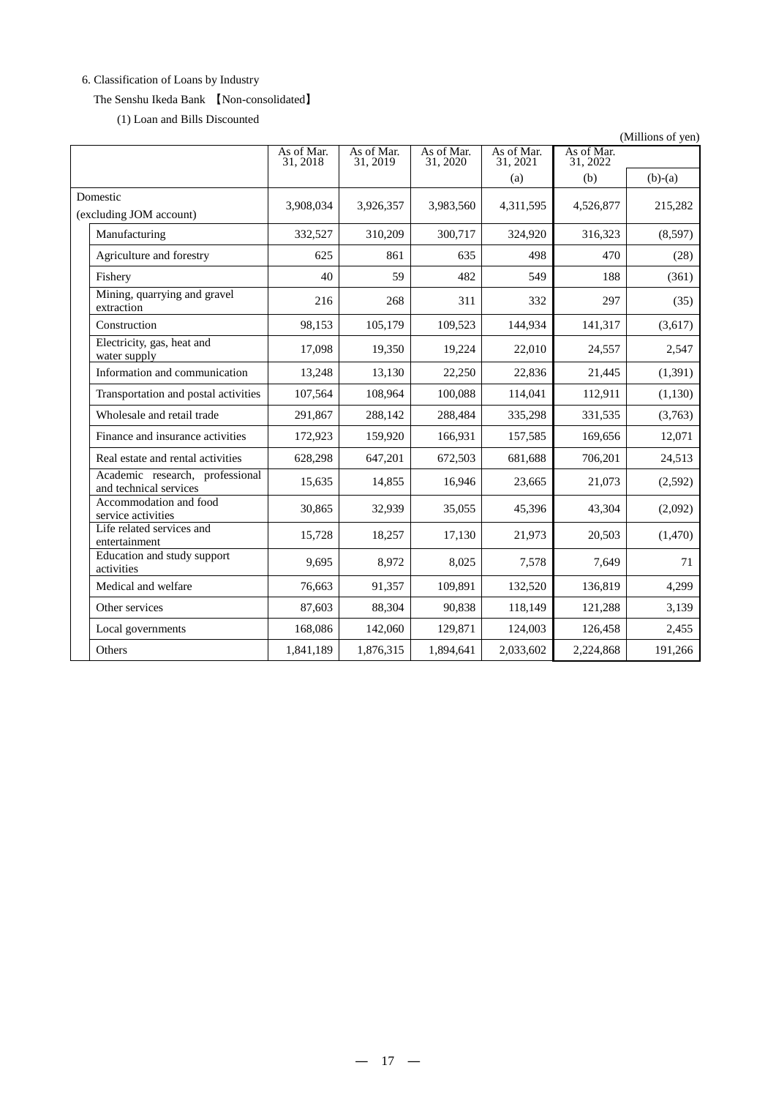# 6. Classification of Loans by Industry

# The Senshu Ikeda Bank 【Non-consolidated】

(1) Loan and Bills Discounted

|                                                           |                        |                        |                        |                        |                        | (Millions of yen) |
|-----------------------------------------------------------|------------------------|------------------------|------------------------|------------------------|------------------------|-------------------|
|                                                           | As of Mar.<br>31, 2018 | As of Mar.<br>31, 2019 | As of Mar.<br>31, 2020 | As of Mar.<br>31, 2021 | As of Mar.<br>31, 2022 |                   |
|                                                           |                        |                        |                        | (a)                    | (b)                    | $(b)-(a)$         |
| Domestic<br>(excluding JOM account)                       | 3,908,034              | 3,926,357              | 3,983,560              | 4,311,595              | 4,526,877              | 215,282           |
| Manufacturing                                             | 332,527                | 310,209                | 300,717                | 324,920                | 316,323                | (8,597)           |
| Agriculture and forestry                                  | 625                    | 861                    | 635                    | 498                    | 470                    | (28)              |
| Fishery                                                   | 40                     | 59                     | 482                    | 549                    | 188                    | (361)             |
| Mining, quarrying and gravel<br>extraction                | 216                    | 268                    | 311                    | 332                    | 297                    | (35)              |
| Construction                                              | 98,153                 | 105,179                | 109,523                | 144,934                | 141,317                | (3,617)           |
| Electricity, gas, heat and<br>water supply                | 17,098                 | 19,350                 | 19,224                 | 22,010                 | 24,557                 | 2,547             |
| Information and communication                             | 13,248                 | 13.130                 | 22,250                 | 22,836                 | 21,445                 | (1,391)           |
| Transportation and postal activities                      | 107,564                | 108,964                | 100,088                | 114,041                | 112,911                | (1,130)           |
| Wholesale and retail trade                                | 291,867                | 288,142                | 288,484                | 335,298                | 331,535                | (3,763)           |
| Finance and insurance activities                          | 172,923                | 159,920                | 166,931                | 157,585                | 169,656                | 12,071            |
| Real estate and rental activities                         | 628,298                | 647,201                | 672,503                | 681,688                | 706,201                | 24,513            |
| Academic research, professional<br>and technical services | 15,635                 | 14,855                 | 16,946                 | 23,665                 | 21,073                 | (2,592)           |
| Accommodation and food<br>service activities              | 30,865                 | 32,939                 | 35,055                 | 45,396                 | 43,304                 | (2,092)           |
| Life related services and<br>entertainment                | 15,728                 | 18,257                 | 17,130                 | 21,973                 | 20,503                 | (1,470)           |
| Education and study support<br>activities                 | 9.695                  | 8,972                  | 8,025                  | 7,578                  | 7,649                  | 71                |
| Medical and welfare                                       | 76.663                 | 91,357                 | 109,891                | 132,520                | 136,819                | 4,299             |
| Other services                                            | 87,603                 | 88,304                 | 90.838                 | 118,149                | 121,288                | 3,139             |
| Local governments                                         | 168,086                | 142,060                | 129,871                | 124,003                | 126,458                | 2,455             |
| Others                                                    | 1,841,189              | 1,876,315              | 1,894,641              | 2,033,602              | 2,224,868              | 191,266           |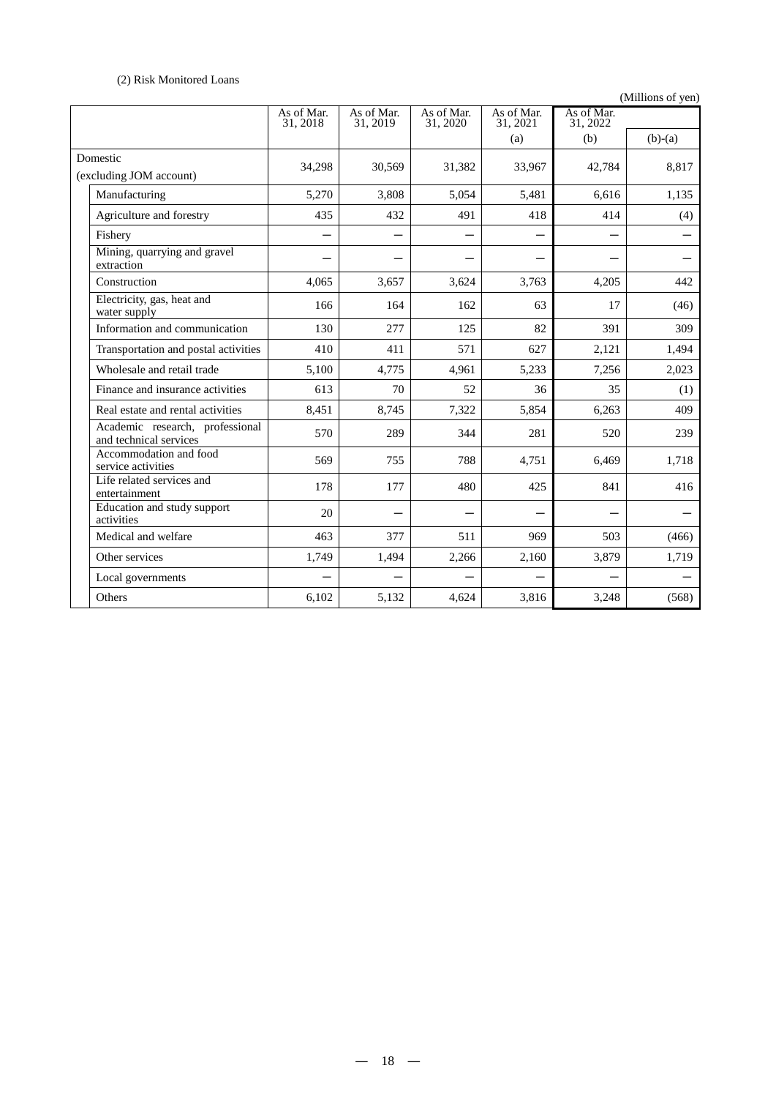# (2) Risk Monitored Loans

(Millions of yen)

|                                                           | As of Mar.<br>31, 2018 | As of Mar.<br>31, 2019 | As of Mar.<br>31, 2020 | As of Mar.<br>31, 2021 | As of Mar.<br>31.2022 |           |
|-----------------------------------------------------------|------------------------|------------------------|------------------------|------------------------|-----------------------|-----------|
|                                                           |                        |                        |                        | (a)                    | (b)                   | $(b)-(a)$ |
| Domestic<br>(excluding JOM account)                       | 34,298                 | 30,569                 | 31,382                 | 33,967                 | 42,784                | 8,817     |
| Manufacturing                                             | 5,270                  | 3,808                  | 5,054                  | 5,481                  | 6,616                 | 1,135     |
| Agriculture and forestry                                  | 435                    | 432                    | 491                    | 418                    | 414                   | (4)       |
| Fishery                                                   |                        |                        |                        |                        |                       |           |
| Mining, quarrying and gravel<br>extraction                |                        |                        |                        |                        |                       |           |
| Construction                                              | 4,065                  | 3,657                  | 3,624                  | 3,763                  | 4,205                 | 442       |
| Electricity, gas, heat and<br>water supply                | 166                    | 164                    | 162                    | 63                     | 17                    | (46)      |
| Information and communication                             | 130                    | 277                    | 125                    | 82                     | 391                   | 309       |
| Transportation and postal activities                      | 410                    | 411                    | 571                    | 627                    | 2,121                 | 1,494     |
| Wholesale and retail trade                                | 5,100                  | 4,775                  | 4,961                  | 5,233                  | 7,256                 | 2,023     |
| Finance and insurance activities                          | 613                    | 70                     | 52                     | 36                     | 35                    | (1)       |
| Real estate and rental activities                         | 8,451                  | 8,745                  | 7,322                  | 5,854                  | 6,263                 | 409       |
| Academic research, professional<br>and technical services | 570                    | 289                    | 344                    | 281                    | 520                   | 239       |
| Accommodation and food<br>service activities              | 569                    | 755                    | 788                    | 4,751                  | 6,469                 | 1,718     |
| Life related services and<br>entertainment                | 178                    | 177                    | 480                    | 425                    | 841                   | 416       |
| Education and study support<br>activities                 | 20                     |                        |                        |                        |                       |           |
| Medical and welfare                                       | 463                    | 377                    | 511                    | 969                    | 503                   | (466)     |
| Other services                                            | 1,749                  | 1,494                  | 2,266                  | 2,160                  | 3,879                 | 1,719     |
| Local governments                                         |                        |                        |                        |                        |                       |           |
| Others                                                    | 6,102                  | 5,132                  | 4,624                  | 3,816                  | 3,248                 | (568)     |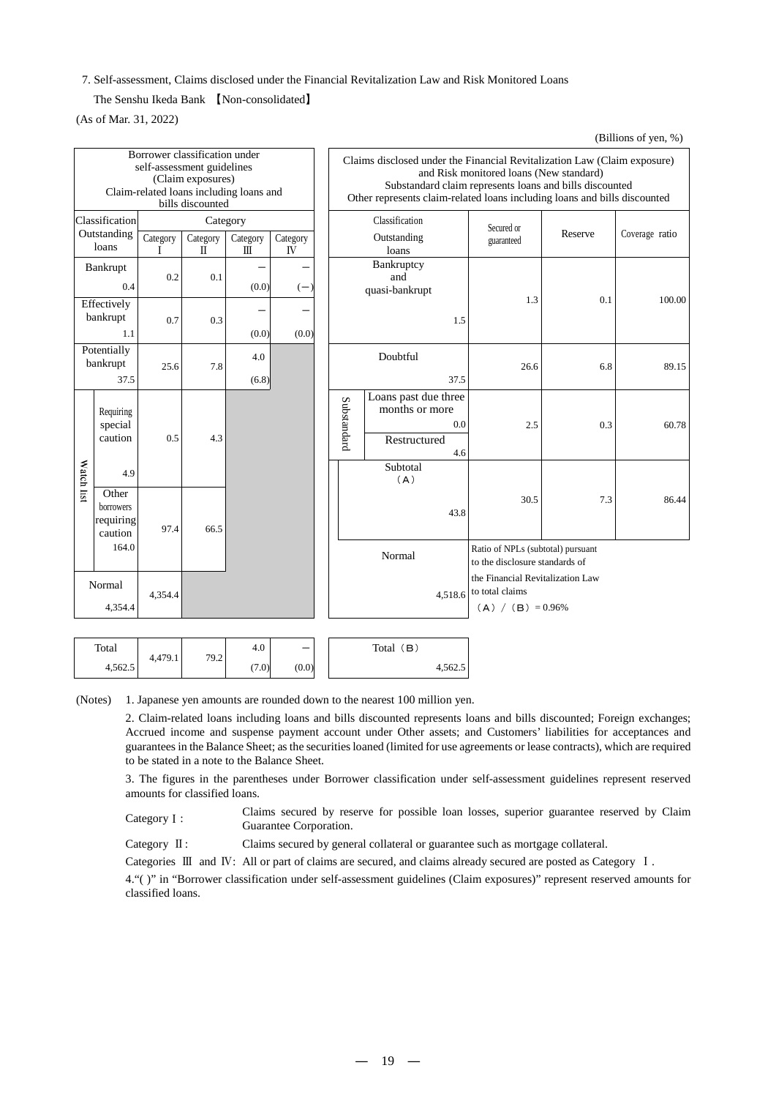7. Self-assessment, Claims disclosed under the Financial Revitalization Law and Risk Monitored Loans

The Senshu Ikeda Bank 【Non-consolidated】

(As of Mar. 31, 2022)

| Borrower classification under<br>self-assessment guidelines<br>(Claim exposures)<br>Claim-related loans including loans and<br>bills discounted |                                            |               |               | Claims disclosed under the Financial Revitalization Law (Claim exposure)<br>and Risk monitored loans (New standard)<br>Substandard claim represents loans and bills discounted<br>Other represents claim-related loans including loans and bills discounted |                |                                     |                                                        |            |                                                                             |         |                |
|-------------------------------------------------------------------------------------------------------------------------------------------------|--------------------------------------------|---------------|---------------|-------------------------------------------------------------------------------------------------------------------------------------------------------------------------------------------------------------------------------------------------------------|----------------|-------------------------------------|--------------------------------------------------------|------------|-----------------------------------------------------------------------------|---------|----------------|
|                                                                                                                                                 | Classification<br>Outstanding              |               | Category      |                                                                                                                                                                                                                                                             |                | Classification                      |                                                        |            | Secured or                                                                  | Reserve | Coverage ratio |
|                                                                                                                                                 | loans                                      | Category<br>Τ | Category<br>Π | Category<br>$\mathbb{H}$                                                                                                                                                                                                                                    | Category<br>IV |                                     | Outstanding<br>loans                                   |            | guaranteed                                                                  |         |                |
|                                                                                                                                                 | Bankrupt<br>0.4                            | 0.2           | 0.1           | (0.0)                                                                                                                                                                                                                                                       | $(-)$          | Bankruptcy<br>and<br>quasi-bankrupt |                                                        |            |                                                                             |         |                |
|                                                                                                                                                 | Effectively<br>bankrupt<br>1.1             | 0.7           | 0.3           | (0.0)                                                                                                                                                                                                                                                       | (0.0)          | 1.5                                 |                                                        | 1.3        | 0.1                                                                         | 100.00  |                |
|                                                                                                                                                 | Potentially<br>bankrupt<br>37.5            | 25.6          | 7.8           | 4.0<br>(6.8)                                                                                                                                                                                                                                                |                |                                     | Doubtful                                               | 37.5       | 26.6                                                                        | 6.8     | 89.15          |
|                                                                                                                                                 | Requiring<br>special<br>caution            | 0.5           | 4.3           |                                                                                                                                                                                                                                                             |                | Substandard                         | Loans past due three<br>months or more<br>Restructured | 0.0<br>4.6 | 2.5                                                                         | 0.3     | 60.78          |
| Watch list                                                                                                                                      | 4.9                                        |               |               |                                                                                                                                                                                                                                                             |                |                                     | Subtotal<br>(A)                                        |            |                                                                             |         |                |
|                                                                                                                                                 | Other<br>borrowers<br>requiring<br>caution | 97.4          | 66.5          |                                                                                                                                                                                                                                                             |                |                                     |                                                        | 43.8       | 30.5                                                                        | 7.3     | 86.44          |
|                                                                                                                                                 | 164.0                                      |               |               |                                                                                                                                                                                                                                                             |                |                                     | Normal                                                 |            | Ratio of NPLs (subtotal) pursuant<br>to the disclosure standards of         |         |                |
|                                                                                                                                                 | Normal<br>4,354.4                          | 4,354.4       |               |                                                                                                                                                                                                                                                             |                |                                     |                                                        | 4,518.6    | the Financial Revitalization Law<br>to total claims<br>$(A) / (B) = 0.96\%$ |         |                |
|                                                                                                                                                 |                                            |               |               |                                                                                                                                                                                                                                                             |                |                                     |                                                        |            |                                                                             |         |                |

(Billions of yen, %)

| Total   |         |      | 4.0   | $\overline{\phantom{m}}$ | (В<br>Total |
|---------|---------|------|-------|--------------------------|-------------|
| 4,562.5 | 4,479.1 | 79.2 | (7.0) | (0.0)                    | 4,562.5     |

(Notes) 1. Japanese yen amounts are rounded down to the nearest 100 million yen.

2. Claim-related loans including loans and bills discounted represents loans and bills discounted; Foreign exchanges; Accrued income and suspense payment account under Other assets; and Customers' liabilities for acceptances and guarantees in the Balance Sheet; as the securities loaned (limited for use agreements or lease contracts), which are required to be stated in a note to the Balance Sheet.

3. The figures in the parentheses under Borrower classification under self-assessment guidelines represent reserved amounts for classified loans.

Category I: Claims secured by reserve for possible loan losses, superior guarantee reserved by Claim Guarantee Corporation.

Category  $\text{II}:$  Claims secured by general collateral or guarantee such as mortgage collateral.

Categories Ⅲ and Ⅳ: All or part of claims are secured, and claims already secured are posted as Category Ⅰ.

4."( )" in "Borrower classification under self-assessment guidelines (Claim exposures)" represent reserved amounts for classified loans.

― 19 ―